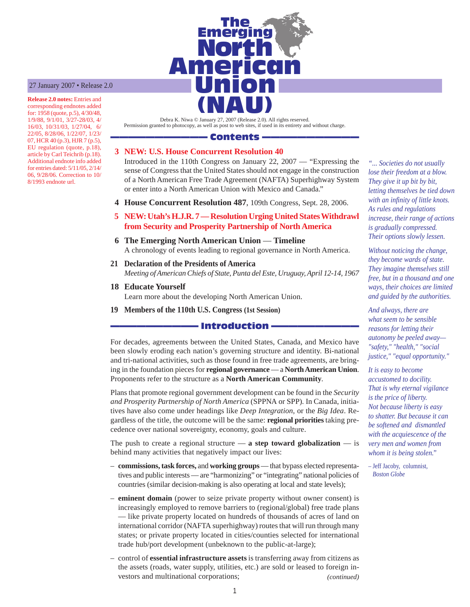#### 27 January 2007 • Release 2.0

**Release 2.0 notes:** Entries and corresponding endnotes added for: 1958 (quote, p.5), 4/30/48, 1/9/88, 9/1/01, 3/27-28/03, 4/ 16/03, 10/31/03, 1/27/04, 6/ 22/05, 8/28/06, 1/22/07, 1/23/ 07, HCR 40 (p.3), HJR 7 (p.5), EU regulation (quote, p.18), article by Carl Teichrib (p.18). Additional endnote info added for entries dated: 5/11/05, 2/14/ 06, 9/28/06. Correction to 10/ 8/1993 endnote url.



Debra K. Niwa © January 27, 2007 (Release 2.0). All rights reserved. Permission granted to photocopy, as well as post to web sites, if used in its entirety and without charge.

### Contents -

### **3 NEW: U.S. House Concurrent Resolution 40**

Introduced in the 110th Congress on January 22, 2007 — "Expressing the sense of Congress that the United States should not engage in the construction of a North American Free Trade Agreement (NAFTA) Superhighway System or enter into a North American Union with Mexico and Canada."

- **4 House Concurrent Resolution 487**, 109th Congress, Sept. 28, 2006.
- **5 NEW: Utah's H.J.R. 7 Resolution Urging United States Withdrawl from Security and Prosperity Partnership of North America**
- **6 The Emerging North American Union Timeline** A chronology of events leading to regional governance in North America.
- **21 Declaration of the Presidents of America** *Meeting of American Chiefs of State, Punta del Este, Uruguay, April 12-14, 1967*
- **18 Educate Yourself** Learn more about the developing North American Union.
- **19 Members of the 110th U.S. Congress (1st Session)**

#### **Introduction**

For decades, agreements between the United States, Canada, and Mexico have been slowly eroding each nation's governing structure and identity. Bi-national and tri-national activities, such as those found in free trade agreements, are bringing in the foundation pieces for **regional governance** — a **North American Union**. Proponents refer to the structure as a **North American Community***.*

Plans that promote regional government development can be found in the *Security and Prosperity Partnership of North America* (SPPNA or SPP)*.* In Canada, initiatives have also come under headings like *Deep Integration*, or the *Big Idea*. Regardless of the title, the outcome will be the same: **regional priorities** taking precedence over national sovereignty, economy, goals and culture.

The push to create a regional structure  $-$  **a step toward globalization**  $-$  is behind many activities that negatively impact our lives:

- **commissions, task forces,** and **working groups** that bypass elected representatives and public interests — are "harmonizing" or "integrating" national policies of countries (similar decision-making is also operating at local and state levels);
- **eminent domain** (power to seize private property without owner consent) is increasingly employed to remove barriers to (regional/global) free trade plans — like private property located on hundreds of thousands of acres of land on international corridor (NAFTA superhighway) routes that will run through many states; or private property located in cities/counties selected for international trade hub/port development (unbeknown to the public-at-large);
- *(continued)* – control of **essential infrastructure assets** is transferring away from citizens as the assets (roads, water supply, utilities, etc.) are sold or leased to foreign investors and multinational corporations;

*"... Societies do not usually lose their freedom at a blow. They give it up bit by bit, letting themselves be tied down with an infinity of little knots. As rules and regulations increase, their range of actions is gradually compressed. Their options slowly lessen.*

*Without noticing the change, they become wards of state. They imagine themselves still free, but in a thousand and one ways, their choices are limited and guided by the authorities.*

*And always, there are what seem to be sensible reasons for letting their autonomy be peeled away— "safety," "health," "social justice," "equal opportunity."*

*It is easy to become accustomed to docility. That is why eternal vigilance is the price of liberty. Not because liberty is easy to shatter. But because it can be softened and dismantled with the acquiescence of the very men and women from whom it is being stolen."*

– Jeff Jacoby, columnist,  *Boston Globe*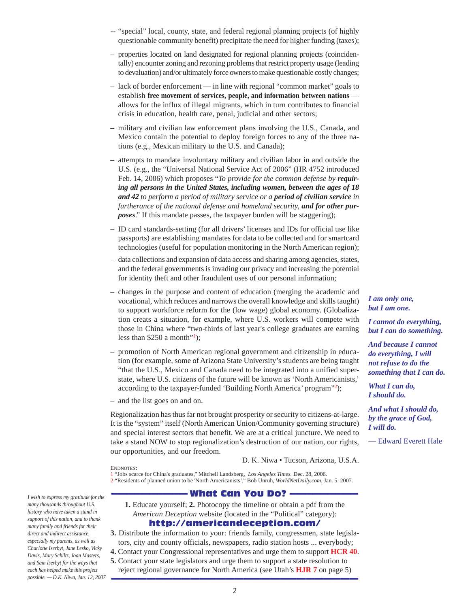- -- "special" local, county, state, and federal regional planning projects (of highly questionable community benefit) precipitate the need for higher funding (taxes);
- properties located on land designated for regional planning projects (coincidentally) encounter zoning and rezoning problems that restrict property usage (leading to devaluation) and/or ultimately force owners to make questionable costly changes;
- lack of border enforcement in line with regional "common market" goals to establish **free movement of services, people, and information between nations** allows for the influx of illegal migrants, which in turn contributes to financial crisis in education, health care, penal, judicial and other sectors;
- military and civilian law enforcement plans involving the U.S., Canada, and Mexico contain the potential to deploy foreign forces to any of the three nations (e.g., Mexican military to the U.S. and Canada);
- attempts to mandate involuntary military and civilian labor in and outside the U.S. (e.g., the "Universal National Service Act of 2006" (HR 4752 introduced Feb. 14, 2006) which proposes "*To provide for the common defense by requiring all persons in the United States, including women, between the ages of 18 and 42 to perform a period of military service or a period of civilian service in furtherance of the national defense and homeland security, and for other purposes*." If this mandate passes, the taxpayer burden will be staggering);
- ID card standards-setting (for all drivers' licenses and IDs for official use like passports) are establishing mandates for data to be collected and for smartcard technologies (useful for population monitoring in the North American region);
- data collections and expansion of data access and sharing among agencies, states, and the federal governments is invading our privacy and increasing the potential for identity theft and other fraudulent uses of our personal information;
- changes in the purpose and content of education (merging the academic and vocational, which reduces and narrows the overall knowledge and skills taught) to support workforce reform for the (low wage) global economy. (Globalization creats a situation, for example, where U.S. workers will compete with those in China where "two-thirds of last year's college graduates are earning less than  $$250$  a month"!);
- promotion of North American regional government and citizenship in education (for example, some of Arizona State University's students are being taught "that the U.S., Mexico and Canada need to be integrated into a unified superstate, where U.S. citizens of the future will be known as 'North Americanists,' according to the taxpayer-funded 'Building North America' program"<sup>2</sup>);
- and the list goes on and on.

ENDNOTES**:**

Regionalization has thus far not brought prosperity or security to citizens-at-large. It is the "system" itself (North American Union/Community governing structure) and special interest sectors that benefit. We are at a critical juncture. We need to take a stand NOW to stop regionalization's destruction of our nation, our rights, our opportunities, and our freedom.

D. K. Niwa • Tucson, Arizona, U.S.A.

1 "Jobs scarce for China's graduates," Mitchell Landsberg, *Los Angeles Times.* Dec. 28, 2006. 2 "Residents of planned union to be 'North Americanists'," Bob Unruh, *WorldNetDaily.com*, Jan. 5. 2007.

### - What Can You Do? -

- **1.** Educate yourself; **2.** Photocopy the timeline or obtain a pdf from the *American Deception* website (located in the "Political" category): <http://americandeception.com/>
- **3.** Distribute the information to your: friends family, congressmen, state legislators, city and county officials, newspapers, radio station hosts ... everybody;
- **4.** Contact your Congressional representatives and urge them to support **HCR 40**.
- **5.** Contact your state legislators and urge them to support a state resolution to reject regional governance for North America (see Utah's **HJR 7** on page 5) ————————————————————————————

*I am only one, but I am one.*

*I cannot do everything, but I can do something.*

*And because I cannot do everything, I will not refuse to do the something that I can do.*

*What I can do, I should do.*

*And what I should do, by the grace of God, I will do.*

— Edward Everett Hale

*many thousands throughout U.S. history who have taken a stand in support of this nation, and to thank many family and friends for their direct and indirect assistance, especially my parents, as well as Charlotte Iserbyt, Jane Lesko, Vicky Davis, Mary Schiltz, Joan Masters, and Sam Iserbyt for the ways that each has helped make this project possible. — D.K. Niwa, Jan. 12, 2007*

*I wish to express my gratitude for the*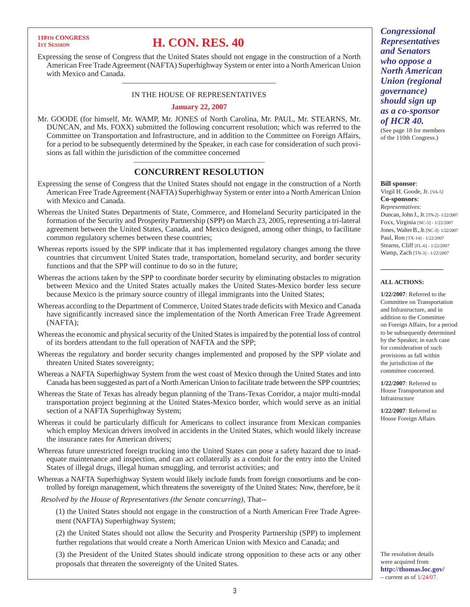## **110TH CONCRESS**

## **1ST SESSION H. CON. RES. 40**

Expressing the sense of Congress that the United States should not engage in the construction of a North American Free Trade Agreement (NAFTA) Superhighway System or enter into a North American Union with Mexico and Canada.

### ———————————————————— IN THE HOUSE OF REPRESENTATIVES

#### **January 22, 2007**

Mr. GOODE (for himself, Mr. WAMP, Mr. JONES of North Carolina, Mr. PAUL, Mr. STEARNS, Mr. DUNCAN, and Ms. FOXX) submitted the following concurrent resolution; which was referred to the Committee on Transportation and Infrastructure, and in addition to the Committee on Foreign Affairs, for a period to be subsequently determined by the Speaker, in each case for consideration of such provisions as fall within the jurisdiction of the committee concerned

### ——————————————————— **CONCURRENT RESOLUTION**

- Expressing the sense of Congress that the United States should not engage in the construction of a North American Free Trade Agreement (NAFTA) Superhighway System or enter into a North American Union with Mexico and Canada.
- Whereas the United States Departments of State, Commerce, and Homeland Security participated in the formation of the Security and Prosperity Partnership (SPP) on March 23, 2005, representing a tri-lateral agreement between the United States, Canada, and Mexico designed, among other things, to facilitate common regulatory schemes between these countries;
- Whereas reports issued by the SPP indicate that it has implemented regulatory changes among the three countries that circumvent United States trade, transportation, homeland security, and border security functions and that the SPP will continue to do so in the future;
- Whereas the actions taken by the SPP to coordinate border security by eliminating obstacles to migration between Mexico and the United States actually makes the United States-Mexico border less secure because Mexico is the primary source country of illegal immigrants into the United States;
- Whereas according to the Department of Commerce, United States trade deficits with Mexico and Canada have significantly increased since the implementation of the North American Free Trade Agreement (NAFTA);
- Whereas the economic and physical security of the United States is impaired by the potential loss of control of its borders attendant to the full operation of NAFTA and the SPP;
- Whereas the regulatory and border security changes implemented and proposed by the SPP violate and threaten United States sovereignty;
- Whereas a NAFTA Superhighway System from the west coast of Mexico through the United States and into Canada has been suggested as part of a North American Union to facilitate trade between the SPP countries;
- Whereas the State of Texas has already begun planning of the Trans-Texas Corridor, a major multi-modal transportation project beginning at the United States-Mexico border, which would serve as an initial section of a NAFTA Superhighway System;
- Whereas it could be particularly difficult for Americans to collect insurance from Mexican companies which employ Mexican drivers involved in accidents in the United States, which would likely increase the insurance rates for American drivers;
- Whereas future unrestricted foreign trucking into the United States can pose a safety hazard due to inadequate maintenance and inspection, and can act collaterally as a conduit for the entry into the United States of illegal drugs, illegal human smuggling, and terrorist activities; and
- Whereas a NAFTA Superhighway System would likely include funds from foreign consortiums and be controlled by foreign management, which threatens the sovereignty of the United States: Now, therefore, be it

*Resolved by the House of Representatives (the Senate concurring),* That--

(1) the United States should not engage in the construction of a North American Free Trade Agreement (NAFTA) Superhighway System;

(2) the United States should not allow the Security and Prosperity Partnership (SPP) to implement further regulations that would create a North American Union with Mexico and Canada; and

(3) the President of the United States should indicate strong opposition to these acts or any other proposals that threaten the sovereignty of the United States.

*Congressional Representatives and Senators who oppose a North American Union (regional governance) should sign up as a co-sponsor of HCR 40.*

(See page 18 for members of the 110th Congress.)

#### **Bill sponsor**:

Virgil H. Goode, Jr. [VA-5] **Co-sponsors**: *Representatives*: Duncan, John J., Jr. [TN-2] - 1/22/2007 Foxx, Virginia [NC-5] - 1/22/2007 Jones, Walter B., Jr. [NC-3] - 1/22/2007 Paul, Ron [TX-14] - 1/22/2007 Stearns, Cliff [FL-6] - 1/22/2007 Wamp, Zach [TN-3] - 1/22/2007

#### **ALL ACTIONS:**

——————————

**1/22/2007**: Referred to the Committee on Transportation and Infrastructure, and in addition to the Committee on Foreign Affairs, for a period to be subsequently determined by the Speaker, in each case for consideration of such provisions as fall within the jurisdiction of the committee concerned.

**1/22/2007**: Referred to House Transportation and Infrastructure

**1/22/2007**: Referred to House Foreign Affairs

The resolution details were acquired from **<http://thomas.loc.gov/>**  $-$  current as of  $1/24/07$ .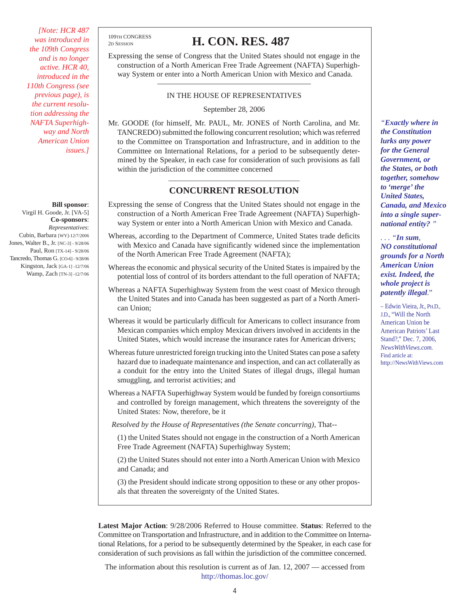*[Note: HCR 487 was introduced in the 109th Congress and is no longer active. HCR 40, introduced in the 110th Congress (see previous page), is the current resolution addressing the NAFTA Superhighway and North American Union issues.]*

**Bill sponsor**: Virgil H. Goode, Jr. [VA-5] **Co-sponsors**: *Representatives*: Cubin, Barbara [WY]-12/7/2006 Jones, Walter B., Jr. [NC-3] - 9/28/06 Paul, Ron [TX-14] - 9/28/06 Tancredo, Thomas G. [CO-6] - 9/28/06 Kingston, Jack [GA-1] -12/7/06 Wamp, Zach [TN-3] -12/7/06 109TH CONGRESS

## 2D SESSION **H. CON. RES. 487**

Expressing the sense of Congress that the United States should not engage in the construction of a North American Free Trade Agreement (NAFTA) Superhighway System or enter into a North American Union with Mexico and Canada.

### ———————————————————— IN THE HOUSE OF REPRESENTATIVES

September 28, 2006

Mr. GOODE (for himself, Mr. PAUL, Mr. JONES of North Carolina, and Mr. TANCREDO) submitted the following concurrent resolution; which was referred to the Committee on Transportation and Infrastructure, and in addition to the Committee on International Relations, for a period to be subsequently determined by the Speaker, in each case for consideration of such provisions as fall within the jurisdiction of the committee concerned

### ——————————————————— **CONCURRENT RESOLUTION**

- Expressing the sense of Congress that the United States should not engage in the construction of a North American Free Trade Agreement (NAFTA) Superhighway System or enter into a North American Union with Mexico and Canada.
- Whereas, according to the Department of Commerce, United States trade deficits with Mexico and Canada have significantly widened since the implementation of the North American Free Trade Agreement (NAFTA);
- Whereas the economic and physical security of the United States is impaired by the potential loss of control of its borders attendant to the full operation of NAFTA;
- Whereas a NAFTA Superhighway System from the west coast of Mexico through the United States and into Canada has been suggested as part of a North American Union;
- Whereas it would be particularly difficult for Americans to collect insurance from Mexican companies which employ Mexican drivers involved in accidents in the United States, which would increase the insurance rates for American drivers;
- Whereas future unrestricted foreign trucking into the United States can pose a safety hazard due to inadequate maintenance and inspection, and can act collaterally as a conduit for the entry into the United States of illegal drugs, illegal human smuggling, and terrorist activities; and
- Whereas a NAFTA Superhighway System would be funded by foreign consortiums and controlled by foreign management, which threatens the sovereignty of the United States: Now, therefore, be it

*Resolved by the House of Representatives (the Senate concurring),* That--

(1) the United States should not engage in the construction of a North American Free Trade Agreement (NAFTA) Superhighway System;

(2) the United States should not enter into a North American Union with Mexico and Canada; and

(3) the President should indicate strong opposition to these or any other proposals that threaten the sovereignty of the United States.

**Latest Major Action**: 9/28/2006 Referred to House committee. **Status**: Referred to the Committee on Transportation and Infrastructure, and in addition to the Committee on International Relations, for a period to be subsequently determined by the Speaker, in each case for consideration of such provisions as fall within the jurisdiction of the committee concerned.

The information about this resolution is current as of Jan. 12, 2007 — accessed from <http://thomas.loc.gov/>

*"Exactly where in the Constitution lurks any power for the General Government, or the States, or both together, somehow to 'merge' the United States, Canada, and Mexico into a single supernational entity? "*

*. . . "In sum, NO constitutional grounds for a North American Union exist. Indeed, the whole project is patently illegal."*

– Edwin Vieira, Jr., PH.D., J.D., "Will the North American Union be American Patriots' Last Stand?," Dec. 7, 2006, *NewsWithViews.com.* Find article at: <http://NewsWithViews.com>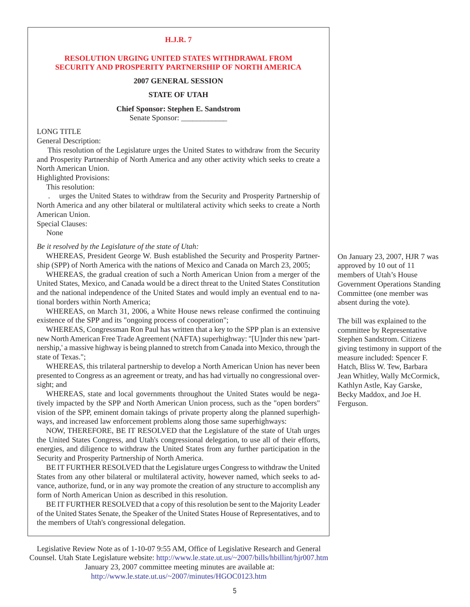#### **H.J.R. 7**

### **RESOLUTION URGING UNITED STATES WITHDRAWAL FROM SECURITY AND PROSPERITY PARTNERSHIP OF NORTH AMERICA**

#### **2007 GENERAL SESSION**

#### **STATE OF UTAH**

#### **Chief Sponsor: Stephen E. Sandstrom**

Senate Sponsor:

LONG TITLE

General Description:

 This resolution of the Legislature urges the United States to withdraw from the Security and Prosperity Partnership of North America and any other activity which seeks to create a North American Union.

Highlighted Provisions:

This resolution:

 . urges the United States to withdraw from the Security and Prosperity Partnership of North America and any other bilateral or multilateral activity which seeks to create a North American Union.

Special Clauses:

None

### *Be it resolved by the Legislature of the state of Utah:*

WHEREAS, President George W. Bush established the Security and Prosperity Partnership (SPP) of North America with the nations of Mexico and Canada on March 23, 2005;

WHEREAS, the gradual creation of such a North American Union from a merger of the United States, Mexico, and Canada would be a direct threat to the United States Constitution and the national independence of the United States and would imply an eventual end to national borders within North America;

WHEREAS, on March 31, 2006, a White House news release confirmed the continuing existence of the SPP and its "ongoing process of cooperation";

WHEREAS, Congressman Ron Paul has written that a key to the SPP plan is an extensive new North American Free Trade Agreement (NAFTA) superhighway: "[U]nder this new 'partnership,' a massive highway is being planned to stretch from Canada into Mexico, through the state of Texas.";

WHEREAS, this trilateral partnership to develop a North American Union has never been presented to Congress as an agreement or treaty, and has had virtually no congressional oversight; and

WHEREAS, state and local governments throughout the United States would be negatively impacted by the SPP and North American Union process, such as the "open borders" vision of the SPP, eminent domain takings of private property along the planned superhighways, and increased law enforcement problems along those same superhighways:

NOW, THEREFORE, BE IT RESOLVED that the Legislature of the state of Utah urges the United States Congress, and Utah's congressional delegation, to use all of their efforts, energies, and diligence to withdraw the United States from any further participation in the Security and Prosperity Partnership of North America.

BE IT FURTHER RESOLVED that the Legislature urges Congress to withdraw the United States from any other bilateral or multilateral activity, however named, which seeks to advance, authorize, fund, or in any way promote the creation of any structure to accomplish any form of North American Union as described in this resolution.

BE IT FURTHER RESOLVED that a copy of this resolution be sent to the Majority Leader of the United States Senate, the Speaker of the United States House of Representatives, and to the members of Utah's congressional delegation.

Legislative Review Note as of 1-10-07 9:55 AM, Office of Legislative Research and General Counsel. Utah State Legislature website: <http://www.le.state.ut.us/~2007/bills/hbillint/hjr007.htm>

 January 23, 2007 committee meeting minutes are available at: <http://www.le.state.ut.us/~2007/minutes/HGOC0123.htm>

On January 23, 2007, HJR 7 was approved by 10 out of 11 members of Utah's House Government Operations Standing Committee (one member was absent during the vote).

The bill was explained to the committee by Representative Stephen Sandstrom. Citizens giving testimony in support of the measure included: Spencer F. Hatch, Bliss W. Tew, Barbara Jean Whitley, Wally McCormick, Kathlyn Astle, Kay Garske, Becky Maddox, and Joe H. Ferguson.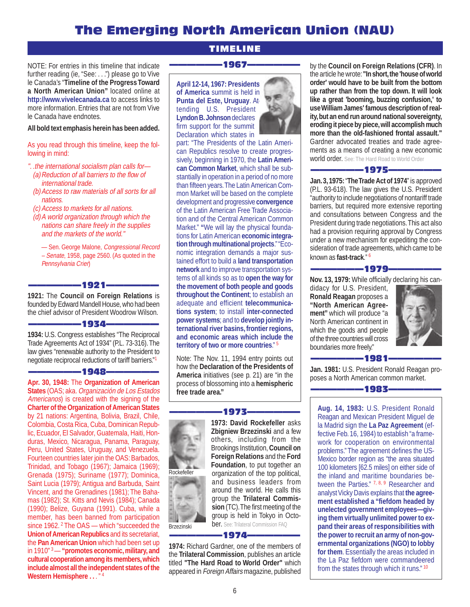## The Emerging North American Union (NAU)

TIMELINE

NOTE: For entries in this timeline that indicate further reading (ie, "See: . . .") please go to Vive le Canada's "**Timeline of the Progress Toward a North American Union"** located online at **<http://www.vivelecanada.ca>** to access links to more information. Entries that are not from Vive le Canada have endnotes.

#### **All bold text emphasis herein has been added.**

As you read through this timeline, keep the following in mind:

- ". .the international socialism plan calls for— (a) Reduction of all barriers to the flow of international trade.
- (b) Access to raw materials of all sorts for all nations.
- (c) Access to markets for all nations.
- (d) A world organization through which the nations can share freely in the supplies and the markets of the world."

— Sen. George Malone, Congressional Record – Senate, 1958, page 2560. (As quoted in the Pennsylvania Crier)

#### —1921—

**1921:** The **Council on Foreign Relations** is founded by Edward Mandell House, who had been the chief advisor of President Woodrow Wilson.

#### ——————1934——————

**1934:** U.S. Congress establishes "The Reciprocal Trade Agreements Act of 1934" (P.L. 73-316). The law gives "renewable authority to the President to negotiate reciprocal reductions of tariff barriers."1

#### -1948-

**Apr. 30, 1948:** The **Organization of American States** (OAS; aka. Organización de Los Estados Americanos) is created with the signing of the **Charter of the Organization of American States** by 21 nations: Argentina, Bolivia, Brazil, Chile, Colombia, Costa Rica, Cuba, Dominican Republic, Ecuador, El Salvador, Guatemala, Haiti, Honduras, Mexico, Nicaragua, Panama, Paraguay, Peru, United States, Uruguay, and Venezuela. Fourteen countries later join the OAS: Barbados, Trinidad, and Tobago (1967); Jamaica (1969); Grenada (1975); Suriname (1977); Dominica, Saint Lucia (1979); Antigua and Barbuda, Saint Vincent, and the Grenadines (1981); The Bahamas (1982); St. Kitts and Nevis (1984); Canada (1990); Belize, Guyana (1991). Cuba, while a member, has been banned from participation since 1962. <sup>2</sup> The OAS — which "succeeded the **Union of American Republics** and its secretariat, the **Pan American Union** which had been set up in 1910" 3 — **"promotes economic, military, and cultural cooperation among its members, which include almost all the independent states of the Western Hemisphere . .** . " <sup>4</sup>

## ——————1967——————

**April 12-14, 1967: Presidents of America** summit is held in **Punta del Este, Uruguay**. Attending U.S. President **Lyndon B. Johnson** declares firm support for the summit Declaration which states in



part: "The Presidents of the Latin American Republics resolve to create progressively, beginning in 1970, the **Latin American Common Market**, which shall be substantially in operation in a period of no more than fifteen years. The Latin American Common Market will be based on the complete development and progressive **convergence** of the Latin American Free Trade Association and of the Central American Common Market." **"**We will lay the physical foundations for Latin American **economic integration through multinational projects**.""Economic integration demands a major sustained effort to build a **land transportation network** and to improve transportation systems of all kinds so as to **open the way for the movement of both people and goods throughout the Continent**; to establish an adequate and efficient **telecommunications system**; to install **inter-connected power systems**; and to **develop jointly international river basins, frontier regions, and economic areas which include the territory of two or more countries**." <sup>5</sup>

Note: The Nov. 11, 1994 entry points out how the **Declaration of the Presidents of America** initiatives (see p. 21) are "in the process of blossoming into a **hemispheric free trade area."**



#### –1973–

**1973: David Rockefeller** asks **Zbigniew Brzezinski** and a few others, including from the Brookings Institution, **Council on Foreign Relations** and the **Ford Foundation**, to put together an organization of the top political, and business leaders from around the world. He calls this group the **Trilateral Commission** (TC). The first meeting of the group is held in Tokyo in October. See: Trilateral Commission FAQ

#### -1974–

**1974:** Richard Gardner, one of the members of the **Trilateral Commission**, publishes an article titled **"The Hard Road to World Order"** which appeared in Foreign Affairs magazine, published by the **Council on Foreign Relations (CFR)**. In the article he wrote: **"In short, the 'house of world order' would have to be built from the bottom up rather than from the top down. It will look like a great 'booming, buzzing confusion,' to use William James' famous description of reality, but an end run around national sovereignty, eroding it piece by piece, will accomplish much more than the old-fashioned frontal assault."** Gardner advocated treaties and trade agreements as a means of creating a new economic world order. See: The Hard Road to World Order

#### ——————1975——————

**Jan. 3, 1975:** "**The Trade Act of 1974**" is approved (P.L. 93-618). The law gives the U.S. President "authority to include negotiations of nontariff trade barriers, but required more extensive reporting and consultations between Congress and the President during trade negotiations. This act also had a provision requiring approval by Congress under a new mechanism for expediting the consideration of trade agreements, which came to be known as **fast-track**." 6

#### -1979-

**Nov. 13, 1979:** While officially declaring his can-

didacy for U.S. President, **Ronald Reagan** proposes a **"North American Agreement"** which will produce "a North American continent in which the goods and people of the three countries will cross boundaries more freely."





**Jan. 1981:** U.S. President Ronald Reagan proposes a North American common market.



**Aug. 14, 1983:** U.S. President Ronald Reagan and Mexican President Miguel de la Madrid sign the **La Paz Agreement** (effective Feb. 16, 1984) to establish "a framework for cooperation on environmental problems." The agreement defines the US-Mexico border region as "the area situated 100 kilometers [62.5 miles] on either side of the inland and maritime boundaries between the Parties." 7, 8, 9 Researcher and analyst Vicky Davis explains that **the agreement established a "fiefdom headed by unelected government employees—giving them virtually unlimited power to expand their areas of responsibilities with the power to recruit an army of non-governmental organizations (NGO) to lobby for them**. Essentially the areas included in the La Paz fiefdom were commandeered from the states through which it runs." <sup>10</sup>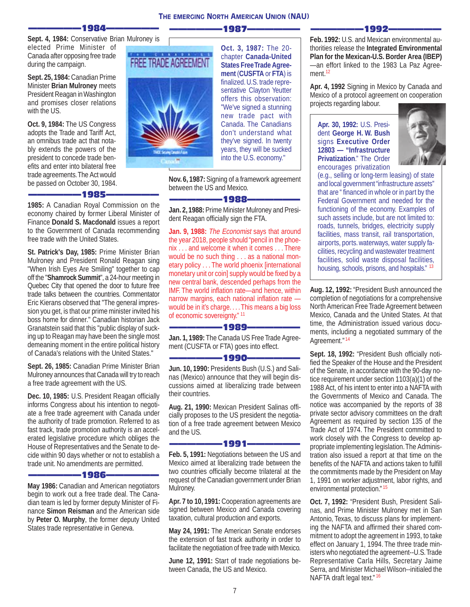——————1987——————

**Sept. 4, 1984:** Conservative Brian Mulroney is elected Prime Minister of Canada after opposing free trade during the campaign.

-1984–

**Sept. 25, 1984:** Canadian Prime Minister **Brian Mulroney** meets President Reagan in Washington and promises closer relations with the US.

**Oct. 9, 1984:** The US Congress adopts the Trade and Tariff Act, an omnibus trade act that notably extends the powers of the president to concede trade benefits and enter into bilateral free trade agreements. The Act would be passed on October 30, 1984.

——————1985——————

**1985:** A Canadian Royal Commission on the economy chaired by former Liberal Minister of Finance **Donald S. Macdonald** issues a report to the Government of Canada recommending free trade with the United States.

**St. Patrick's Day, 1985:** Prime Minister Brian Mulroney and President Ronald Reagan sing "When Irish Eyes Are Smiling" together to cap off the "**Shamrock Summit**", a 24-hour meeting in Quebec City that opened the door to future free trade talks between the countries. Commentator Eric Kierans observed that "The general impression you get, is that our prime minister invited his boss home for dinner." Canadian historian Jack Granatstein said that this "public display of sucking up to Reagan may have been the single most demeaning moment in the entire political history of Canada's relations with the United States."

**Sept. 26, 1985:** Canadian Prime Minister Brian Mulroney announces that Canada will try to reach a free trade agreement with the US.

**Dec. 10, 1985:** U.S. President Reagan officially informs Congress about his intention to negotiate a free trade agreement with Canada under the authority of trade promotion. Referred to as fast track, trade promotion authority is an accelerated legislative procedure which obliges the House of Representatives and the Senate to decide within 90 days whether or not to establish a trade unit. No amendments are permitted.

#### -1986-

**May 1986:** Canadian and American negotiators begin to work out a free trade deal. The Canadian team is led by former deputy Minister of Finance **Simon Reisman** and the American side by **Peter O. Murphy**, the former deputy United States trade representative in Geneva.



**Oct. 3, 1987:** The 20 chapter **Canada-United States Free Trade Agreement** (**CUSFTA** or **FTA**) is finalized. U.S. trade representative Clayton Yeutter offers this observation: "We've signed a stunning new trade pact with Canada. The Canadians don't understand what they've signed. In twenty years, they will be sucked into the U.S. economy."

**Nov. 6, 1987:** Signing of a framework agreement between the US and Mexico.

#### ——————1988——————

**Jan. 2, 1988:** Prime Minister Mulroney and President Reagan officially sign the FTA.

**Jan. 9, 1988:** The Economist says that around the year 2018, people should "pencil in the phoenix . . . and welcome it when it comes . . . There would be no such thing . . . as a national monetary policy . . . The world phoenix [international monetary unit or coin] supply would be fixed by a new central bank, descended perhaps from the IMF. The world inflation rate—and hence, within narrow margins, each national inflation rate would be in it's charge. . . . This means a big loss of economic sovereignty." <sup>11</sup>

#### ——————1989——————

**Jan. 1, 1989:** The Canada US Free Trade Agreement (CUSFTA or FTA) goes into effect.

#### ——————1990——————

**Jun. 10, 1990:** Presidents Bush (U.S.) and Salinas (Mexico) announce that they will begin discussions aimed at liberalizing trade between their countries.

**Aug. 21, 1990:** Mexican President Salinas officially proposes to the US president the negotiation of a free trade agreement between Mexico and the US.

#### –1991—

**Feb. 5, 1991:** Negotiations between the US and Mexico aimed at liberalizing trade between the two countries officially become trilateral at the request of the Canadian government under Brian Mulroney.

**Apr. 7 to 10, 1991:** Cooperation agreements are signed between Mexico and Canada covering taxation, cultural production and exports.

**May 24, 1991:** The American Senate endorses the extension of fast track authority in order to facilitate the negotiation of free trade with Mexico.

**June 12, 1991:** Start of trade negotiations between Canada, the US and Mexico.

——————1992——————

**Feb. 1992:** U.S. and Mexican environmental authorities release the **Integrated Environmental Plan for the Mexican-U.S. Border Area (IBEP)** —an effort linked to the 1983 La Paz Agreement.<sup>12</sup>

**Apr. 4, 1992** Signing in Mexico by Canada and Mexico of a protocol agreement on cooperation projects regarding labour.

**Apr. 30, 1992:** U.S. President **George H. W. Bush** signs **Executive Order 12803 — "Infrastructure Privatization**." The Order encourages privatization



(e.g., selling or long-term leasing) of state and local government "infrastructure assets" that are " financed in whole or in part by the Federal Government and needed for the functioning of the economy. Examples of such assets include, but are not limited to: roads, tunnels, bridges, electricity supply facilities, mass transit, rail transportation, airports, ports. waterways, water supply facilities, recycling and wastewater treatment facilities, solid waste disposal facilities, housing, schools, prisons, and hospitals." <sup>13</sup>

**Aug. 12, 1992:** "President Bush announced the completion of negotiations for a comprehensive North American Free Trade Agreement between Mexico, Canada and the United States. At that time, the Administration issued various documents, including a negotiated summary of the Agreement." <sup>14</sup>

Sept. 18, 1992: "President Bush officially notified the Speaker of the House and the President of the Senate, in accordance with the 90-day notice requirement under section 1103(a)(1) of the 1988 Act, of his intent to enter into a NAFTA with the Governments of Mexico and Canada. The notice was accompanied by the reports of 38 private sector advisory committees on the draft Agreement as required by section 135 of the Trade Act of 1974. The President committed to work closely with the Congress to develop appropriate implementing legislation. The Administration also issued a report at that time on the benefits of the NAFTA and actions taken to fulfill the commitments made by the President on May 1, 1991 on worker adjustment, labor rights, and environmental protection."<sup>15</sup>

**Oct. 7, 1992:** "President Bush, President Salinas, and Prime Minister Mulroney met in San Antonio, Texas, to discuss plans for implementing the NAFTA and affirmed their shared commitment to adopt the agreement in 1993, to take effect on January 1, 1994. The three trade ministers who negotiated the agreement--U.S. Trade Representative Carla Hills, Secretary Jaime Serra, and Minister Michael Wilson--initialed the NAFTA draft legal text."<sup>16</sup>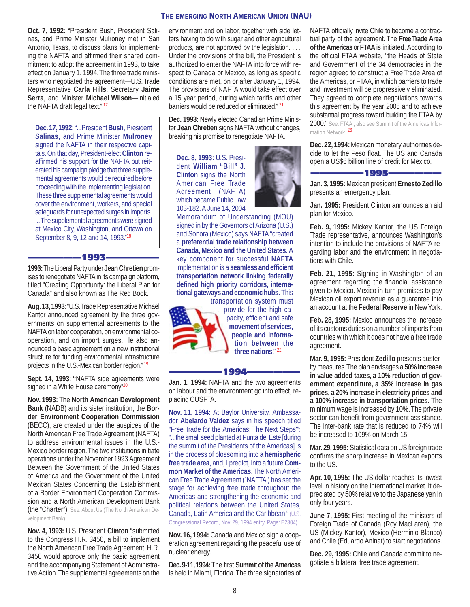**Oct. 7, 1992:** "President Bush, President Salinas, and Prime Minister Mulroney met in San Antonio, Texas, to discuss plans for implementing the NAFTA and affirmed their shared commitment to adopt the agreement in 1993, to take effect on January 1, 1994. The three trade ministers who negotiated the agreement—U.S. Trade Representative **Carla Hills**, Secretary **Jaime Serra**, and Minister **Michael Wilson**—initialed the NAFTA draft legal text."<sup>17</sup>

**Dec. 17, 1992:** "...President **Bush**, President **Salinas**, and Prime Minister **Mulroney** signed the NAFTA in their respective capitals. On that day, President-elect **Clinton** reaffirmed his support for the NAFTA but reiterated his campaign pledge that three supplemental agreements would be required before proceeding with the implementing legislation. These three supplemental agreements would cover the environment, workers, and special safeguards for unexpected surges in imports. ... The supplemental agreements were signed at Mexico City, Washington, and Ottawa on September 8, 9, 12 and 14, 1993."<sup>18</sup>

#### –1993–

**1993:** The Liberal Party under **Jean Chretien** promises to renegotiate NAFTA in its campaign platform, titled "Creating Opportunity: the Liberal Plan for Canada" and also known as The Red Book.

**Aug. 13, 1993**: "U.S. Trade Representative Michael Kantor announced agreement by the three governments on supplemental agreements to the NAFTA on labor cooperation, on environmental cooperation, and on import surges. He also announced a basic agreement on a new institutional structure for funding environmental infrastructure projects in the U.S.-Mexican border region."<sup>19</sup>

**Sept. 14, 1993: "**NAFTA side agreements were signed in a White House ceremony"<sup>20</sup>

**Nov. 1993:** The **North American Development Bank** (NADB) and its sister institution, the **Border Environment Cooperation Commission** (BECC), are created under the auspices of the North American Free Trade Agreement (NAFTA) to address environmental issues in the U.S.- Mexico border region. The two institutions initiate operations under the November 1993 Agreement Between the Government of the United States of America and the Government of the United Mexican States Concerning the Establishment of a Border Environment Cooperation Commission and a North American Development Bank (the "Charter"). See: About Us (The North American Development Bank)

**Nov. 4, 1993:** U.S. President **Clinton** "submitted to the Congress H.R. 3450, a bill to implement the North American Free Trade Agreement. H.R. 3450 would approve only the basic agreement and the accompanying Statement of Administrative Action. The supplemental agreements on the

#### environment and on labor, together with side letters having to do with sugar and other agricultural products, are not approved by the legislation. . . . Under the provisions of the bill, the President is authorized to enter the NAFTA into force with respect to Canada or Mexico, as long as specific conditions are met, on or after January 1, 1994. The provisions of NAFTA would take effect over a 15 year period, during which tariffs and other barriers would be reduced or eliminated." <sup>21</sup>

**THE EMERGING NORTH AMERICAN UNION (NAU)**

**Dec. 1993:** Newly elected Canadian Prime Minister **Jean Chretien** signs NAFTA without changes, breaking his promise to renegotiate NAFTA.

**Dec. 8, 1993:** U.S. President **William "Bill" J. Clinton** signs the North American Free Trade Agreement (NAFTA) which became Public Law 103-182. A June 14, 2004



Memorandum of Understanding (MOU) signed in by the Governors of Arizona (U.S.) and Sonora (Mexico) says NAFTA "created a **preferential trade relationship between Canada, Mexico and the United States**. A key component for successful **NAFTA** implementation is a **seamless and efficient transportation network linking federally defined high priority corridors, international gateways and economic hubs.** This transportation system must



provide for the high capacity, efficient and safe **movement of services, people and information between the three nations**." <sup>22</sup>

——————1994——————

**Jan. 1, 1994:** NAFTA and the two agreements on labour and the environment go into effect, replacing CUSFTA.

**Nov. 11, 1994:** At Baylor University, Ambassador **Abelardo Valdez** says in his speech titled "Free Trade for the Americas: The Next Steps'": "...the small seed planted at Punta del Este [during the summit of the Presidents of the Americas] is in the process of blossoming into a **hemispheric free trade area**, and, I predict, into a future **Common Market of the Americas**. The North American Free Trade Agreement (`NAFTA') has set the stage for achieving free trade throughout the Americas and strengthening the economic and political relations between the United States, Canada, Latin America and the Caribbean." (U.S. Congressional Record, Nov. 29, 1994 entry, Page: E2304)

**Nov. 16, 1994:** Canada and Mexico sign a cooperation agreement regarding the peaceful use of nuclear energy.

**Dec. 9-11, 1994:** The first **Summit of the Americas** is held in Miami, Florida. The three signatories of NAFTA officially invite Chile to become a contractual party of the agreement. The **Free Trade Area of the Americas** or **FTAA** is initiated. According to the official FTAA website, "the Heads of State and Government of the 34 democracies in the region agreed to construct a Free Trade Area of the Americas, or FTAA, in which barriers to trade and investment will be progressively eliminated. They agreed to complete negotiations towards this agreement by the year 2005 and to achieve substantial progress toward building the FTAA by 2000." See: FTAA ; also see Summit of the Americas Information Network <sup>23</sup>

**Dec. 22, 1994:** Mexican monetary authorities decide to let the Peso float. The US and Canada open a US\$6 billion line of credit for Mexico.



**Jan. 3, 1995:** Mexican president **Ernesto Zedillo** presents an emergency plan.

**Jan. 1995:** President Clinton announces an aid plan for Mexico.

**Feb. 9, 1995:** Mickey Kantor, the US Foreign Trade representative, announces Washington's intention to include the provisions of NAFTA regarding labor and the environment in negotiations with Chile.

**Feb. 21, 1995:** Signing in Washington of an agreement regarding the financial assistance given to Mexico. Mexico in turn promises to pay Mexican oil export revenue as a guarantee into an account at the **Federal Reserve** in New York.

**Feb. 28, 1995:** Mexico announces the increase of its customs duties on a number of imports from countries with which it does not have a free trade agreement.

**Mar. 9, 1995:** President **Zedillo** presents austerity measures. The plan envisages a **50% increase in value added taxes, a 10% reduction of government expenditure, a 35% increase in gas prices, a 20% increase in electricity prices and a 100% increase in transportation prices.** The minimum wage is increased by 10%. The private sector can benefit from government assistance. The inter-bank rate that is reduced to 74% will be increased to 109% on March 15.

**Mar. 29, 1995:** Statistical data on US foreign trade confirms the sharp increase in Mexican exports to the US.

**Apr. 10, 1995:** The US dollar reaches its lowest level in history on the international market. It depreciated by 50% relative to the Japanese yen in only four years.

**June 7, 1995:** First meeting of the ministers of Foreign Trade of Canada (Roy MacLaren), the US (Mickey Kantor), Mexico (Herminio Blanco) and Chile (Eduardo Aninat) to start negotiations.

**Dec. 29, 1995:** Chile and Canada commit to negotiate a bilateral free trade agreement.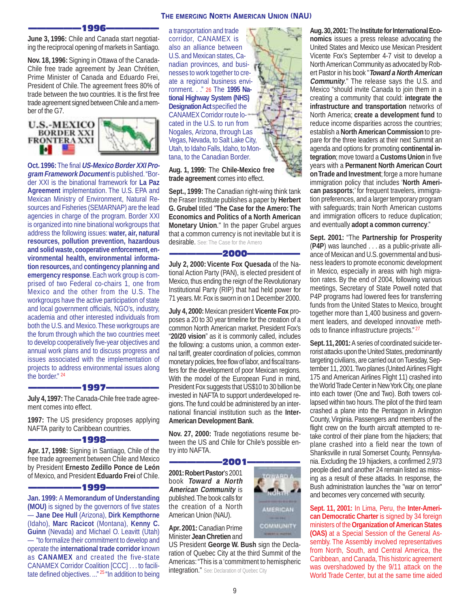

——————1996—————— **June 3, 1996:** Chile and Canada start negotiating the reciprocal opening of markets in Santiago.

**Nov. 18, 1996:** Signing in Ottawa of the Canada-Chile free trade agreement by Jean Chrétien, Prime Minister of Canada and Eduardo Frei, President of Chile. The agreement frees 80% of trade between the two countries. It is the first free trade agreement signed between Chile and a member of the G7.

**U.S.-MEXICO BORDER XXI FRONTERA XXI** ы



**Oct. 1996:** The final **US-Mexico Border XXI Program Framework Document** is published. "Border XXI is the binational framework for **La Paz Agreement** implementation. The U.S. EPA and Mexican Ministry of Environment, Natural Resources and Fisheries (SEMARNAP) are the lead agencies in charge of the program. Border XXI is organized into nine binational workgroups that address the following issues: **water, air, natural resources, pollution prevention, hazardous and solid waste, cooperative enforcement, environmental health, environmental information resources,** and **contingency planning and emergency response**. Each work group is comprised of two Federal co-chairs 1, one from Mexico and the other from the U.S. The workgroups have the active participation of state and local government officials, NGO's, industry, academia and other interested individuals from both the U.S. and Mexico. These workgroups are the forum through which the two countries meet to develop cooperatively five-year objectives and annual work plans and to discuss progress and issues associated with the implementation of projects to address environmental issues along the border." <sup>24</sup>

#### ——————1997——————

**July 4, 1997:** The Canada-Chile free trade agreement comes into effect.

**1997:** The US presidency proposes applying NAFTA parity to Caribbean countries.

#### ——————1998——————

**Apr. 17, 1998:** Signing in Santiago, Chile of the free trade agreement between Chile and Mexico by President **Ernesto Zedillo Ponce de León** of Mexico, and President **Eduardo Frei** of Chile.

#### ——————1999——————

**Jan. 1999:** A **Memorandum of Understanding (MOU)** is signed by the governors of five states — **Jane Dee Hull** (Arizona), **Dirk Kempthorne** (Idaho), **Marc Racicot** (Montana), **Kenny C. Guinn** (Nevada) and Michael O. Leavitt (Utah) — "to formalize their commitment to develop and operate the **international trade corridor** known as **CANAMEX** and created the five-state CANAMEX Corridor Coalition [CCC] . . . to facilitate defined objectives. ..." <sup>25</sup> "In addition to being

a transportation and trade corridor, CANAMEX is also an alliance between U.S. and Mexican states, Canadian provinces, and businesses to work together to create a regional business environment. . ." 26 The **1995 National Highway System (NHS) Designation Act specified the** CANAMEX Corridor route located in the U.S. to run from Nogales, Arizona, through Las Vegas, Nevada, to Salt Lake City, Utah, to Idaho Falls, Idaho, to Montana, to the Canadian Border.

**Aug. 1, 1999:** The **Chile-Mexico free trade agreement** comes into effect.

**Sept., 1999:** The Canadian right-wing think tank the Fraser Institute publishes a paper by **Herbert G. Grubel** titled "**The Case for the Amero: The Economics and Politics of a North American Monetary Union**." In the paper Grubel argues that a common currency is not inevitable but it is desirable. See: The Case for the Amero

#### ——————2000——————

**July 2, 2000: Vicente Fox Quesada** of the National Action Party (PAN), is elected president of Mexico, thus ending the reign of the Revolutionary Institutional Party (RIP) that had held power for 71 years. Mr. Fox is sworn in on 1 December 2000.

**July 4, 2000:** Mexican president **Vicente Fox** proposes a 20 to 30 year timeline for the creation of a common North American market. President Fox's "**20/20 vision**" as it is commonly called, includes the following: a customs union, a common external tariff, greater coordination of policies, common monetary policies, free flow of labor, and fiscal transfers for the development of poor Mexican regions. With the model of the European Fund in mind, President Fox suggests that US\$10 to 30 billion be invested in NAFTA to support underdeveloped regions. The fund could be administered by an international financial institution such as the **Inter-American Development Bank**.

**Nov. 27, 2000:** Trade negotiations resume between the US and Chile for Chile's possible entry into NAFTA.

#### ——————2001——————

**2001: Robert Pastor**'s 2001 book **Toward a North American Community** is published. The book calls for the creation of a North American Union (NAU).

**Apr. 2001:** Canadian Prime Minister **Jean Chretien** and

US President **George W. Bush** sign the Declaration of Quebec City at the third Summit of the Americas: "This is a 'commitment to hemispheric integration." See: Declaration of Quebec City



COMMUNITY

**Aug. 30, 2001:** The **Institute for International Economics** issues a press release advocating the United States and Mexico use Mexican President Vicente Fox's September 4-7 visit to develop a North American Community as advocated by Robert Pastor in his book "**Toward a North American Community**." The release says the U.S. and Mexico "should invite Canada to join them in a creating a community that could: **integrate the infrastructure and transportation** networks of North America; **create a development fund** to reduce income disparities across the countries; establish a **North American Commission** to prepare for the three leaders at their next Summit an agenda and options for promoting **continental integration**; move toward a **Customs Union** in five years with a **Permanent North American Court on Trade and Investment**; forge a more humane immigration policy that includes '**North American passports**;' for frequent travelers, immigration preferences, and a larger temporary program with safeguards; train North American customs and immigration officers to reduce duplication; and eventually **adopt a common currency**."

**Sept. 2001:** "The **Partnership for Prosperity** (**P4P**) was launched . . . as a public-private alliance of Mexican and U.S. governmental and business leaders to promote economic development in Mexico, especially in areas with high migration rates. By the end of 2004, following various meetings, Secretary of State Powell noted that P4P programs had lowered fees for transferring funds from the United States to Mexico, brought together more than 1,400 business and government leaders, and developed innovative methods to finance infrastructure projects." <sup>27</sup>

**Sept. 11, 2001:** A series of coordinated suicide terrorist attacks upon the United States, predominantly targeting civilians, are carried out on Tuesday, September 11, 2001. Two planes (United Airlines Flight 175 and American Airlines Flight 11) crashed into the World Trade Center in New York City, one plane into each tower (One and Two). Both towers collapsed within two hours. The pilot of the third team crashed a plane into the Pentagon in Arlington County, Virginia. Passengers and members of the flight crew on the fourth aircraft attempted to retake control of their plane from the hijackers; that plane crashed into a field near the town of Shanksville in rural Somerset County, Pennsylvania. Excluding the 19 hijackers, a confirmed 2,973 people died and another 24 remain listed as missing as a result of these attacks. In response, the Bush administration launches the "war on terror" and becomes very concerned with security.

**Sept. 11, 2001:** In Lima, Peru, the **Inter-American Democratic Charter** is signed by 34 foreign ministers of the **Organization of American States (OAS)** at a Special Session of the General Assembly. The Assembly involved representatives from North, South, and Central America, the Caribbean, and Canada, This historic agreement was overshadowed by the 9/11 attack on the World Trade Center, but at the same time aided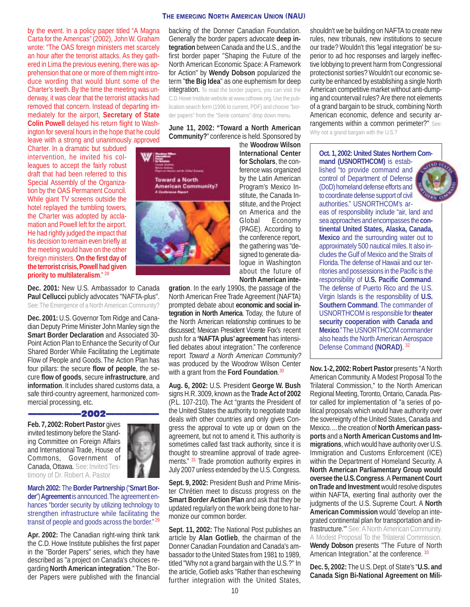by the event. In a policy paper titled "A Magna Carta for the Americas" (2002), John W. Graham wrote: "The OAS foreign ministers met scarcely an hour after the terrorist attacks. As they gathered in Lima the previous evening, there was apprehension that one or more of them might introduce wording that would blunt some of the Charter's teeth. By the time the meeting was underway, it was clear that the terrorist attacks had removed that concern. Instead of departing immediately for the airport, **Secretary of State Colin Powell** delayed his return flight to Washington for several hours in the hope that he could leave with a strong and unanimously approved

Charter. In a dramatic but subdued intervention, he invited his colleagues to accept the fairly robust draft that had been referred to this Special Assembly of the Organization by the OAS Permanent Council. While giant TV screens outside the hotel replayed the tumbling towers, the Charter was adopted by acclamation and Powell left for the airport. He had rightly judged the impact that his decision to remain even briefly at the meeting would have on the other foreign ministers. **On the first day of the terrorist crisis, Powell had given priority to multilateralism**." <sup>28</sup>

**Dec. 2001:** New U.S. Ambassador to Canada Paul Cellucci publicly advocates "NAFTA-plus". See: The Emergence of a North American Community?

**Dec. 2001:** U.S. Governor Tom Ridge and Canadian Deputy Prime Minister John Manley sign the **Smart Border Declaration** and Associated 30- Point Action Plan to Enhance the Security of Our Shared Border While Facilitating the Legitimate Flow of People and Goods. The Action Plan has four pillars: the secure **flow of people**, the secure **flow of goods**, secure **infrastructure**, and **information**. It includes shared customs data, a safe third-country agreement, harmonized commercial processing, etc.

#### ——————2002——————

**Feb. 7, 2002: Robert Pastor** gives invited testimony before the Standing Committee on Foreign Affairs and International Trade, House of Commons, Government of Canada, Ottawa. See: Invited Testimony of Dr. Robert A. Pastor



**March 2002:** The **Border Partnership** ("**Smart Border**") **Agreement** is announced. The agreement enhances "border security by utilizing technology to strengthen infrastructure while facilitating the transit of people and goods across the border."<sup>29</sup>

**Apr. 2002:** The Canadian right-wing think tank the C.D. Howe Institute publishes the first paper in the "Border Papers" series, which they have described as "a project on Canada's choices regarding **North American integration**." The Border Papers were published with the financial

## **THE EMERGING NORTH AMERICAN UNION (NAU)**

backing of the Donner Canadian Foundation. Generally the border papers advocate **deep integration** between Canada and the U.S., and the first border paper "Shaping the Future of the North American Economic Space: A Framework for Action" by **Wendy Dobson** popularized the term "**the Big Idea**" as one euphemism for deep integration. To read the border papers, you can visit the C.D. Howe Institute website at www.cdhowe.org. Use the publication search form (1996 to current, PDF) and choose "border papers" from the "Serie contains" drop down menu.

**June 11, 2002: "Toward a North American Community?**" conference is held. Sponsored by



the **Woodrow Wilson International Center for Scholars**, the conference was organized by the Latin American Program's Mexico Institute, the Canada Institute, and the Project on America and the Global Economy (PAGE). According to the conference report, the gathering was "designed to generate dialogue in Washington about the future of **North American inte-**

**gration**. In the early 1990s, the passage of the North American Free Trade Agreement (NAFTA) prompted debate about **economic and social integration in North America**. Today, the future of the North American relationship continues to be discussed; Mexican President Vicente Fox's recent push for a **'NAFTA plus' agreement** has intensified debates about integration." The conference report Toward a North American Community? was produced by the Woodrow Wilson Center with a grant from the **Ford Foundation**. 30

**Aug. 6, 2002:** U.S. President **George W. Bush** signs H.R. 3009, known as the **Trade Act of 2002** (P.L. 107-210). The Act "grants the President of the United States the authority to negotiate trade deals with other countries and only gives Congress the approval to vote up or down on the agreement, but not to amend it. This authority is sometimes called fast track authority, since it is thought to streamline approval of trade agreements." <sup>31</sup> Trade promotion authority expires in July 2007 unless extended by the U.S. Congress.

**Sept. 9, 2002:** President Bush and Prime Minister Chrétien meet to discuss progress on the **Smart Border Action Plan and ask that they be** updated regularly on the work being done to harmonize our common border.

**Sept. 11, 2002:** The National Post publishes an article by **Alan Gotlieb**, the chairman of the Donner Canadian Foundation and Canada's ambassador to the United States from 1981 to 1989, titled "Why not a grand bargain with the U.S.?" In the article, Gotlieb asks "Rather than eschewing further integration with the United States, shouldn't we be building on NAFTA to create new rules, new tribunals, new institutions to secure our trade? Wouldn't this 'legal integration' be superior to ad hoc responses and largely ineffective lobbying to prevent harm from Congressional protectionist sorties? Wouldn't our economic security be enhanced by establishing a single North American competitive market without anti-dumping and countervail rules? Are there not elements of a grand bargain to be struck, combining North American economic, defence and security arrangements within a common perimeter?" See:

Why not a grand bargain with the U.S.?

#### **Oct. 1, 2002: United States Northern Command (USNORTHCOM)** is established "to provide command and

control of Department of Defense (DoD) homeland defense efforts and to coordinate defense support of civil authorities." USNORTHCOM's ar-



eas of responsibility include "air, land and sea approaches and encompasses the **continental United States, Alaska, Canada, Mexico** and the surrounding water out to approximately 500 nautical miles. It also includes the Gulf of Mexico and the Straits of Florida. The defense of Hawaii and our territories and possessions in the Pacific is the responsibility of **U.S. Pacific Command**. The defense of Puerto Rico and the U.S. Virgin Islands is the responsibility of **U.S. Southern Command**. The commander of USNORTHCOM is responsible for **theater security cooperation with Canada and Mexico**." The USNORTHCOM commander also heads the North American Aerospace Defense Command **(NORAD)**. <sup>32</sup>

**Nov. 1-2, 2002: Robert Pastor** presents "A North American Community. A Modest Proposal To the Trilateral Commission," to the North American Regional Meeting, Toronto, Ontario, Canada. Pastor called for implementation of "a series of political proposals which would have authority over the sovereignty of the United States, Canada and Mexico. ... the creation of **North American passports** and a **North American Customs and Immigrations**, which would have authority over U.S. Immigration and Customs Enforcement (ICE) within the Department of Homeland Security. A **North American Parliamentary Group would oversee the U.S. Congress**. A **Permanent Court on Trade and Investment** would resolve disputes within NAFTA, exerting final authority over the judgments of the U.S. Supreme Court. A **North American Commission** would 'develop an integrated continental plan for transportation and infrastructure.'" See: A North American Community. A Modest Proposal To the Trilateral Commission. **Wendy Dobson** presents "The Future of North American Integration." at the conference. 33

**Dec. 5, 2002:** The U.S. Dept. of State's "**U.S. and Canada Sign Bi-National Agreement on Mili-**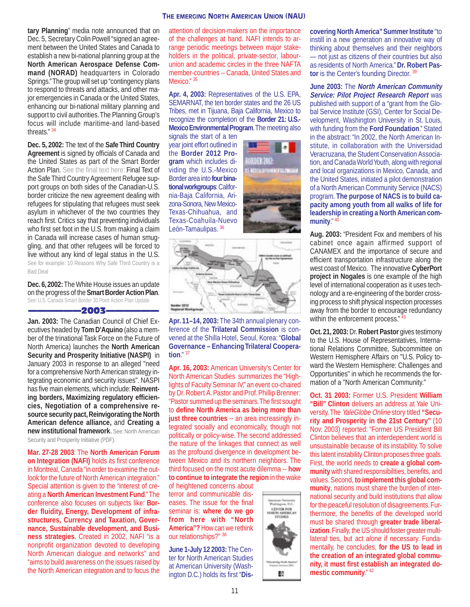#### **THE EMERGING NORTH AMERICAN UNION (NAU)**

**tary Planning**" media note announced that on Dec. 5, Secretary Colin Powell "signed an agreement between the United States and Canada to establish a new bi-national planning group at the **North American Aerospace Defense Command (NORAD)** headquarters in Colorado Springs." The group will set up "contingency plans to respond to threats and attacks, and other major emergencies in Canada or the United States, enhancing our bi-national military planning and support to civil authorities. The Planning Group's focus will include maritime-and land-based threats." <sup>34</sup>

**Dec. 5, 2002:** The text of the **Safe Third Country Agreement** is signed by officials of Canada and the United States as part of the Smart Border Action Plan. See the final text here: Final Text of the Safe Third Country Agreement Refugee support groups on both sides of the Canadian-U.S. border criticize the new agreement dealing with refugees for stipulating that refugees must seek asylum in whichever of the two countries they reach first. Critics say that preventing individuals who first set foot in the U.S. from making a claim in Canada will increase cases of human smuggling, and that other refugees will be forced to live without any kind of legal status in the U.S. See for example: 10 Reasons Why Safe Third Country is a Bad Deal

**Dec. 6, 2002:** The White House issues an update on the progress of the **Smart Border Action Plan**. See: U.S. Canada Smart Border 30 Point Action Plan Update

-2003–

**Jan. 2003:** The Canadian Council of Chief Executives headed by **Tom D'Aquino** (also a member of the trinational Task Force on the Future of North America) launches the **North American Security and Prosperity Initiative (NASPI)** in January 2003 in response to an alleged "need for a comprehensive North American strategy integrating economic and security issues". NASPI has five main elements, which include: **Reinventing borders, Maximizing regulatory efficiencies, Negotiation of a comprehensive resource security pact, Reinvigorating the North American defence alliance,** and **Creating a new institutional framework**. See: North American Security and Prosperity Initiative (PDF).

**Mar. 27-28 2003**: The **North American Forum**

**on Integration (NAFI)** holds its first conference in Montreal, Canada "in order to examine the outlook for the future of North American integration." Special attention is given to the "interest of creating a **North American Investment Fund**." The conference also focuses on subjects like: **Border fluidity, Energy, Development of infrastructures, Currency and Taxation, Governance, Sustainable development, and Business strategies**. Created in 2002, NAFI "is a nonprofit organization devoted to developing North American dialogue and networks" and "aims to build awareness on the issues raised by the North American integration and to focus the

attention of decision-makers on the importance of the challenges at hand. NAFI intends to arrange periodic meetings between major stakeholders in the political, private-sector, labourunion and academic circles in the three NAFTA member-countries -- Canada, United States and Mexico." 35

**Apr. 4, 2003:** Representatives of the U.S. EPA, SEMARNAT, the ten border states and the 26 US Tribes, met in Tijuana, Baja California, Mexico to recognize the completion of the **Border 21: U.S.- Mexico Environmental Program**. The meeting also

signals the start of a ten year joint effort outlined in the **Border 2012 Program** which includes dividing the U.S.-Mexico Border area into **four binational workgroups**: California-Baja California, Arizona-Sonora, New Mexico-Texas-Chihuahua, and Texas-Coahuila-Nuevo León-Tamaulipas. <sup>36</sup>





**Apr. 11–14, 2003:** The 34th annual plenary conference of the **Trilateral Commission** is convened at the Shilla Hotel, Seoul, Korea: "**Global Governance – Enhancing Trilateral Cooperation**." <sup>37</sup>

**Apr. 16, 2003:** American University's Center for North American Studies summarizes the "Highlights of Faculty Seminar IV," an event co-chaired by Dr. Robert A. Pastor and Prof. Phillip Brenner: "Pastor summed up the seminars. The first sought to **define North America as being more than just three countries** -- an area increasingly integrated socially and economically, though not politically or policy-wise. The second addressed the nature of the linkages that connect as well as the profound divergence in development between Mexico and its northern neighbors. The third focused on the most acute dilemma -- **how to continue to integrate the region** in the wake

of heightened concerns about terror and communicable diseases. The issue for the final seminar is: **where do we go from here with "North America"?** How can we rethink our relationships?" <sup>38</sup>

**June 1-July 12 2003:** The Center for North American Studies at American University (Washington D.C.) holds its first "**Dis-**



**covering North America" Summer Institute** "to instill in a new generation an innovative way of thinking about themselves and their neighbors — not just as citizens of their countries but also as residents of North America." **Dr. Robert Pastor** is the Center's founding Director. 39

**June 2003:** The **North American Community Service: Pilot Project Research Report** was published with support of a "grant from the Global Service Institute (GSI), Center for Social Development, Washington University in St. Louis, with funding from the **Ford Foundation**." Stated in the abstract: "In 2002, the North American Institute, in collaboration with the Universidad Veracruzana, the Student Conservation Association, and Canada World Youth, along with regional and local organizations in Mexico, Canada, and the United States, initiated a pilot demonstration of a North American Community Service (NACS) program. **The purpose of NACS is to build capacity among youth from all walks of life for leadership in creating a North American community**." <sup>40</sup>

**Aug. 2003:** "President Fox and members of his cabinet once again affirmed support of CANAMEX and the importance of secure and efficient transportation infrastructure along the west coast of Mexico. The innovative **CyberPort project in Nogales** is one example of the high level of international cooperation as it uses technology and a re-engineering of the border crossing process to shift physical inspection processes away from the border to encourage redundancy within the enforcement process."  $41$ 

**Oct. 21, 2003:** Dr. **Robert Pastor** gives testimony to the U.S. House of Representatives, International Relations Committee, Subcommittee on Western Hemisphere Affairs on "U.S. Policy toward the Western Hemisphere: Challenges and Opportunities" in which he recommends the formation of a "North American Community."

**Oct. 31 2003:** Former U.S. President **William "Bill" Clinton** delivers an address at Yale University. The YaleGlobe Online story titled **"Security and Prosperity in the 21st Century"** (10 Nov. 2003) reported: "Former US President Bill Clinton believes that an interdependent world is unsustainable because of its instability. To solve this latent instability Clinton proposes three goals. First, the world needs to **create a global community** with shared responsibilities, benefits, and values. Second, **to implement this global community**, nations must share the burden of international security and build institutions that allow for the peaceful resolution of disagreements. Furthermore, the benefits of the developed world must be shared through **greater trade liberalization**. Finally, the US should foster greater multilateral ties, but act alone if necessary. Fundamentally, he concludes, **for the US to lead in the creation of an integrated global community, it must first establish an integrated domestic community**." <sup>42</sup>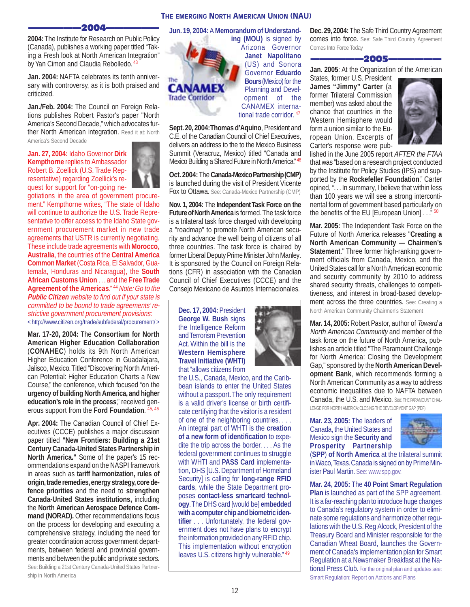#### 2004-

**2004:** The Institute for Research on Public Policy (Canada), publishes a working paper titled "Taking a Fresh look at North American Integration" by Yan Cimon and Claudia Rebolledo. 43

**Jan. 2004:** NAFTA celebrates its tenth anniversary with controversy, as it is both praised and criticized.

**Jan./Feb. 2004:** The Council on Foreign Relations publishes Robert Pastor's paper "North America's Second Decade," which advocates further North American integration. Read it at: North America's Second Decade

**Jan. 27, 2004:** Idaho Governor **Dirk Kempthorne** replies to Ambassador Robert B. Zoellick (U.S. Trade Representative) regarding Zoellick's request for support for "on-going ne-



gotiations in the area of government procurement." Kempthorne writes, "The state of Idaho will continue to authorize the U.S. Trade Representative to offer access to the Idaho State government procurement market in new trade agreements that USTR is currently negotiating. These include trade agreements with **Morocco, Australia**, the countries of the **Central America Common Market** (Costa Rica, El Salvador, Guatemala, Honduras and Nicaragua), the **South African Customs Union** . . . and the **Free Trade Agreement of the Americas**." <sup>44</sup> Note: Go to the **Public Citizen** website to find out if your state is committed to be bound to trade agreements' restrictive government procurement provisions: <<http://www.citizen.org/trade/subfederal/procurement/> >

**Mar. 17-20, 2004:** The **Consortium for North American Higher Education Collaboration** (**CONAHEC**) holds its 9th North American Higher Education Conference in Guadalajara, Jalisco, Mexico. Titled "Discovering North American Potential: Higher Education Charts a New Course," the conference, which focused "on the **urgency of building North America, and higher education's role in the process**," received generous support from the **Ford Foundation**. 45, 46

**Apr. 2004:** The Canadian Council of Chief Executives (CCCE) publishes a major discussion paper titled **"New Frontiers: Building a 21st Century Canada-United States Partnership in North America."** Some of the paper's 15 recommendations expand on the NASPI framework in areas such as **tariff harmonization, rules of origin, trade remedies, energy strategy, core defence priorities** and the need to **strengthen Canada-United States institutions,** including the **North American Aerospace Defence Command (NORAD).** Other recommendations focus on the process for developing and executing a comprehensive strategy, including the need for greater coordination across government departments, between federal and provincial governments and between the public and private sectors. See: Building a 21st Century Canada-United States Partnership in North America

**Jun. 19, 2004:** A **Memorandum of Understand-**

CANAME **Trade Corridor** 

**ing (MOU)** is signed by Arizona Governor **Janet Napolitano** (US) and Sonora Governor **Eduardo Bours** (Mexico) for the Planning and Development of the CANAMEX international trade corridor. <sup>47</sup>

**Sept. 20, 2004: Thomas d'Aquino**, President and C.E. of the Canadian Council of Chief Executives, delivers an address to the to the Mexico Business Summit (Veracruz, Mexico) titled "Canada and Mexico Building a Shared Future in North America." 48

**Oct. 2004:** The **Canada-Mexico Partnership (CMP)** is launched during the visit of President Vicente Fox to Ottawa. See: Canada-Mexico Partnership (CMP)

**Nov. 1, 2004:** The **Independent Task Force on the Future of North America** is formed. The task force is a trilateral task force charged with developing a "roadmap" to promote North American security and advance the well being of citizens of all three countries. The task force is chaired by former Liberal Deputy Prime Minister John Manley. It is sponsored by the Council on Foreign Relations (CFR) in association with the Canadian Council of Chief Executives (CCCE) and the Consejo Mexicano de Asuntos Internacionales.

**Dec. 17, 2004:** President **George W. Bush** signs the Intelligence Reform and Terrorism Prevention Act. Within the bill is the **Western Hemisphere Travel Initiative (WHTI)** that "allows citizens from

the U.S., Canada, Mexico, and the Caribbean islands to enter the United States without a passport. The only requirement is a valid driver's license or birth certificate certifying that the visitor is a resident of one of the neighboring countries. . . . An integral part of WHTI is the **creation of a new form of identification** to expedite the trip across the border. . . . As the federal government continues to struggle with WHTI and **PASS Card** implementation, DHS [U.S. Department of Homeland Security] is calling for **long-range RFID cards**, while the State Department proposes **contact-less smartcard technology**. The DHS card [would be] **embedded with a computer chip and biometric identifier** . . . Unfortunately, the federal government does not have plans to encrypt the information provided on any RFID chip. This implementation without encryption leaves U.S. citizens highly vulnerable." 49



**Dec. 29, 2004:** The Safe Third Country Agreement comes into force. See: Safe Third Country Agreement Comes Into Force Today

-2005-

**Jan. 2005**: At the Organization of the American

States, former U.S. President **James "Jimmy" Carter** (a former Trilateral Commission member) was asked about the chance that countries in the Western Hemisphere would form a union similar to the European Union. Excerpts of Carter's response were pub-



lished in the June 2005 report AFTER the FTAA that was "based on a research project conducted by the Institute for Policy Studies (IPS) and supported by the **Rockefeller Foundation**." Carter opined, ". . . In summary, I believe that within less than 100 years we will see a strong intercontinental form of government based particularly on the benefits of the EU [European Union] . . . " 50

**Mar. 2005:** The Independent Task Force on the Future of North America releases "**Creating a North American Community — Chairmen's Statement.**" Three former high-ranking government officials from Canada, Mexico, and the United States call for a North American economic and security community by 2010 to address shared security threats, challenges to competitiveness, and interest in broad-based development across the three countries. See: Creating a North American Community Chairmen's Statement

**Mar. 14, 2005:** Robert Pastor, author of Toward a North American Community and member of the task force on the future of North America, publishes an article titled "The Paramount Challenge for North America: Closing the Development Gap," sponsored by the **North American Development Bank**, which recommends forming a North American Community as a way to address economic inequalities due to NAFTA between Canada, the U.S. and Mexico. See: THE PARAMOUNT CHAL-LENGE FOR NORTH AMERICA: CLOSING THE DEVELOPMENT GAP (PDF)

**Mar. 23, 2005:** The leaders of Canada, the United States and Mexico sign the **Security and Prosperity Partnership**



(**SPP**) **of North America** at the trilateral summit in Waco, Texas. Canada is signed on by Prime Minister Paul Martin. See: www.spp.gov.

**Mar. 24, 2005:** The **40 Point Smart Regulation Plan** is launched as part of the SPP agreement. It is a far-reaching plan to introduce huge changes to Canada's regulatory system in order to eliminate some regulations and harmonize other regulations with the U.S. Reg Alcock, President of the Treasury Board and Minister responsible for the Canadian Wheat Board, launches the Government of Canada's implementation plan for Smart Regulation at a Newsmaker Breakfast at the National Press Club. For the original plan and updates see: Smart Regulation: Report on Actions and Plans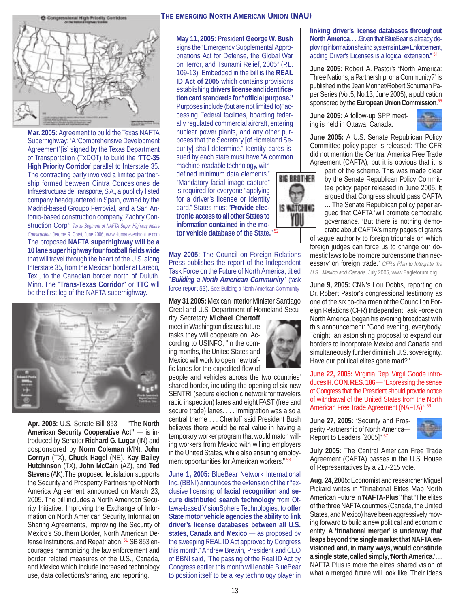

**Mar. 2005:** Agreement to build the Texas NAFTA Superhighway: "A 'Comprehensive Development Agreement' [is] signed by the Texas Department of Transportation (TxDOT) to build the '**TTC-35 High Priority Corridor**' parallel to Interstate 35. The contracting party involved a limited partnership formed between Cintra Concesiones de Infraestructuras de Transporte, S.A., a publicly listed company headquartered in Spain, owned by the Madrid-based Groupo Ferrovial, and a San Antonio-based construction company, Zachry Construction Corp." Texas Segment of NAFTA Super Highway Nears Construction, Jerome R. Corsi, June 2006, www.Humaneventsonline.com The proposed **NAFTA superhighway will be a 10 lane super highway four football fields wide** that will travel through the heart of the U.S. along Interstate 35, from the Mexican border at Laredo, Tex., to the Canadian border north of Duluth. Minn. The "**Trans-Texas Corridor**" or **TTC** will be the first leg of the NAFTA superhighway.



**Apr. 2005:** U.S. Senate Bill 853 — "**The North American Security Cooperative Act"** — is introduced by Senator **Richard G. Lugar** (IN) and cosponsored by **Norm Coleman** (MN), **John Cornyn** (TX), **Chuck Hagel** (NE), **Kay Bailey Hutchinson** (TX), **John McCain** (AZ), and **Ted Stevens** (AK). The proposed legislation supports the Security and Prosperity Partnership of North America Agreement announced on March 23, 2005. The bill includes a North American Security Initiative, Improving the Exchange of Information on North American Security, Information Sharing Agreements, Improving the Security of Mexico's Southern Border, North American Defense Institutions, and Repatriation. 51 SB 853 encourages harmonizing the law enforcement and border related measures of the U.S., Canada, and Mexico which include increased technology use, data collections/sharing, and reporting.

#### **THE EMERGING NORTH AMERICAN UNION (NAU)**

**May 11, 2005:** President **George W. Bush** signs the "Emergency Supplemental Appropriations Act for Defense, the Global War on Terror, and Tsunami Relief, 2005'' (P.L. 109-13). Embedded in the bill is the **REAL ID Act of 2005** which contains provisions establishing **drivers license and identification card standards for "official purpose."** Purposes include (but are not limited to) "accessing Federal facilities, boarding federally regulated commercial aircraft, entering nuclear power plants, and any other purposes that the Secretary [of Homeland Security] shall determine." Identity cards issued by each state must have "A common machine-readable technology, with

defined minimum data elements." "Mandatory facial image capture" is required for everyone "applying for a driver's license or identity card." States must "**Provide electronic access to all other States to information contained in the motor vehicle database of the State.**" <sup>52</sup>

**May 2005:** The Council on Foreign Relations Press publishes the report of the Independent Task Force on the Future of North America, titled "**Building a North American Community**" (task force report 53). See: Building a North American Community

**May 31 2005:** Mexican Interior Minister Santiago Creel and U.S. Department of Homeland Secu-

rity Secretary **Michael Chertoff** meet in Washington discuss future tasks they will cooperate on. According to USINFO, "In the coming months, the United States and Mexico will work to open new traffic lanes for the expedited flow of

people and vehicles across the two countries' shared border, including the opening of six new SENTRI (secure electronic network for travelers rapid inspection) lanes and eight FAST (free and secure trade) lanes. . . . Immigration was also a central theme . . . Chertoff said President Bush believes there would be real value in having a temporary worker program that would match willing workers from Mexico with willing employers in the United States, while also ensuring employment opportunities for American workers." <sup>53</sup>

**June 1, 2005:** BlueBear Network International Inc. (BBNI) announces the extension of their "exclusive licensing of **facial recognition** and **secure distributed search technology** from Ottawa-based VisionSphere Technologies, to **offer State motor vehicle agencies the ability to link driver's license databases between all U.S.** states, Canada and Mexico – as proposed by the sweeping REAL ID Act approved by Congress this month." Andrew Brewin, President and CEO of BBNI said, "The passing of the Real ID Act by Congress earlier this month will enable BlueBear to position itself to be a key technology player in

**BIG BROTHER** 

IS WATCHING YOI

**linking driver's license databases throughout North America... . Given that BlueBear is already de**ploying information sharing systems in Law Enforcement, adding Driver's Licenses is a logical extension." <sup>54</sup>

**June 2005:** Robert A. Pastor's "North America: Three Nations, a Partnership, or a Community?" is published in the Jean Monnet/Robert Schuman Paper Series (Vol.5, No.13, June 2005), a publication sponsored by the **European Union Commission**. 55

**June 2005:** A follow-up SPP meeting is held in Ottawa, Canada.



**June 2005:** A U.S. Senate Republican Policy Committee policy paper is released: "The CFR did not mention the Central America Free Trade Agreement (CAFTA), but it is obvious that it is

part of the scheme. This was made clear by the Senate Republican Policy Committee policy paper released in June 2005. It argued that Congress should pass CAFTA … The Senate Republican policy paper argued that CAFTA 'will promote democratic governance. 'But there is nothing democratic about CAFTA's many pages of grants

of vague authority to foreign tribunals on which foreign judges can force us to change our domestic laws to be 'no more burdensome than necessary' on foreign trade." CFR's Plan to Integrate the U.S., Mexico and Canada, July 2005, www.Eagleforum.org

**June 9, 2005:** CNN's Lou Dobbs, reporting on Dr. Robert Pastor's congressional testimony as one of the six co-chairmen of the Council on Foreign Relations (CFR) Independent Task Force on North America, began his evening broadcast with this announcement: "Good evening, everybody. Tonight, an astonishing proposal to expand our borders to incorporate Mexico and Canada and simultaneously further diminish U.S. sovereignty. Have our political elites gone mad?"

**June 22, 2005:** Virginia Rep. Virgil Goode introduces **H. CON. RES. 186** —"Expressing the sense of Congress that the President should provide notice of withdrawal of the United States from the North American Free Trade Agreement (NAFTA)." <sup>56</sup>

**June 27, 2005:** "Security and Prosperity Partnership of North America— Report to Leaders [2005]" <sup>57</sup>



**July 2005:** The Central American Free Trade Agreement (CAFTA) passes in the U.S. House of Representatives by a 217-215 vote.

**Aug. 24, 2005:** Economist and researcher Miguel Pickard writes in "Trinational Elites Map North American Future in '**NAFTA-Plus**"' that "The elites of the three NAFTA countries (Canada, the United States, and Mexico) have been aggressively moving forward to build a new political and economic entity. **A 'trinational merger' is underway that leaps beyond the single market that NAFTA envisioned and, in many ways, would constitute a single state, called simply, 'North America.'** . . . NAFTA Plus is more the elites' shared vision of what a merged future will look like. Their ideas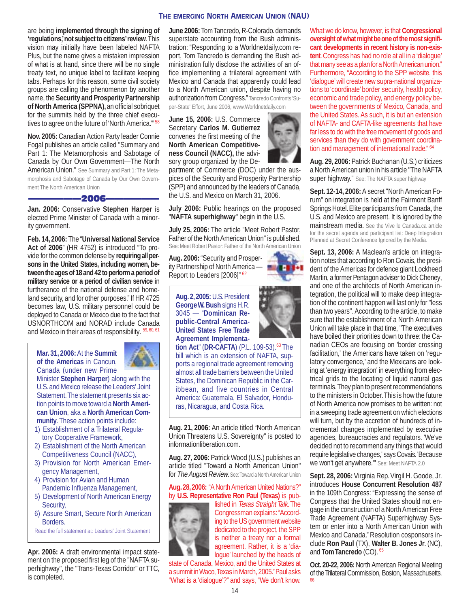### **THE EMERGING NORTH AMERICAN UNION (NAU)**

are being **implemented through the signing of 'regulations,' not subject to citizens' review**. This vision may initially have been labeled NAFTA Plus, but the name gives a mistaken impression of what is at hand, since there will be no single treaty text, no unique label to facilitate keeping tabs. Perhaps for this reason, some civil society groups are calling the phenomenon by another name, the **Security and Prosperity Partnership of North America (SPPNA),** an official sobriquet for the summits held by the three chief executives to agree on the future of 'North America."<sup>58</sup>

**Nov. 2005:** Canadian Action Party leader Connie Fogal publishes an article called "Summary and Part 1: The Metamorphosis and Sabotage of Canada by Our Own Government—The North American Union." See Summary and Part 1: The Metamorphosis and Sabotage of Canada by Our Own Government The North American Union

——————2006——————

**Jan. 2006:** Conservative **Stephen Harper** is elected Prime Minister of Canada with a minority government.

**Feb. 14, 2006:** The "**Universal National Service Act of 2006**" (HR 4752) is introduced "To provide for the common defense by **requiring all persons in the United States, including women, between the ages of 18 and 42 to perform a period of military service or a period of civilian service** in furtherance of the national defense and homeland security, and for other purposes." If HR 4725 becomes law, U.S. military personnel could be deployed to Canada or Mexico due to the fact that USNORTHCOM and NORAD include Canada and Mexico in their areas of responsibility.  $59, 60, 61$ 

**Mar. 31, 2006:** At the **Summit of the Americas** in Cancun, Canada (under new Prime

Minister **Stephen Harper**) along with the U.S. and Mexico release the Leaders' Joint Statement. The statement presents six action points to move toward a **North American Union**, aka a **North American Community**. These action points include:

- 1) Establishment of a Trilateral Regulatory Cooperative Framework,
- 2) Establishment of the North American Competitiveness Council (NACC),
- 3) Provision for North American Emergency Management,
- 4) Provision for Avian and Human Pandemic Influenza Management,
- 5) Development of North American Energy Security,
- 6) Assure Smart, Secure North American Borders.

Read the full statement at: Leaders' Joint Statement

**Apr. 2006:** A draft environmental impact statement on the proposed first leg of the "NAFTA superhighway", the "Trans-Texas Corridor" or TTC, is completed.

**June 2006:** Tom Tancredo, R-Colorado. demands superstate accounting from the Bush administration: "Responding to a Worldnetdaily.com report, Tom Tancredo is demanding the Bush administration fully disclose the activities of an office implementing a trilateral agreement with Mexico and Canada that apparently could lead to a North American union, despite having no authorization from Congress." Tancredo Confronts 'Su-

per-State' Effort, June 2006, www.Worldnetdaily.com

**June 15, 2006:** U.S. Commerce Secretary **Carlos M. Gutierrez** convenes the first meeting of the **North American Competitiveness Council (NACC),** the advisory group organized by the De-

partment of Commerce (DOC) under the auspices of the Security and Prosperity Partnership (SPP) and announced by the leaders of Canada, the U.S. and Mexico on March 31, 2006.

**July 2006:** Public hearings on the proposed "**NAFTA superhighway**" begin in the U.S.

**July 25, 2006:** The article "Meet Robert Pastor, Father of the North American Union" is published. See: Meet Robert Pastor: Father of the North American Union

**Aug. 2006:** "Security and Prosperity Partnership of North America -Report to Leaders [2006]" <sup>62</sup>

**Aug. 2, 2005:** U.S. President **George W. Bush** signs H.R. 3045 — "**Dominican Republic-Central America-United States Free Trade Agreement Implementa-**

**tion Act**" (**DR-CAFTA**) (P.L. 109-53).63 The bill which is an extension of NAFTA, supports a regional trade agreement removing almost all trade barriers between the United States, the Dominican Republic in the Caribbean, and five countries in Central America: Guatemala, El Salvador, Honduras, Nicaragua, and Costa Rica.

**Aug. 21, 2006:** An article titled "North American Union Threatens U.S. Sovereignty" is posted to informationliberation.com.

**Aug. 27, 2006:** Patrick Wood (U.S.) publishes an article titled "Toward a North American Union" for The August Review. See: Toward a North American Union

### **Aug. 28, 2006:** "A North American United Nations?" by **U.S. Representative Ron Paul (Texas)** is pub-



lished in Texas Straight Talk. The Congressman explains: "According to the US government website dedicated to the project, the SPP is neither a treaty nor a formal agreement. Rather, it is a 'dialogue' launched by the heads of

state of Canada, Mexico, and the United States at a summit in Waco, Texas in March, 2005." Paul asks "What is a 'dialogue'?" and says, "We don't know.

What we do know, however, is that **Congressional oversight of what might be one of the most significant developments in recent history is non-existent**. Congress has had no role at all in a 'dialogue' that many see as a plan for a North American union." Furthermore, "According to the SPP website, this 'dialogue' will create new supra-national organizations to 'coordinate' border security, health policy, economic and trade policy, and energy policy between the governments of Mexico, Canada, and the United States. As such, it is but an extension of NAFTA- and CAFTA-like agreements that have far less to do with the free movement of goods and services than they do with government coordination and management of international trade." <sup>64</sup>

**Aug. 29, 2006:** Patrick Buchanan (U.S.) criticizes a North American union in his article "The NAFTA super highway." See: The NAFTA super highway

**Sept. 12-14, 2006:** A secret "North American Forum" on integration is held at the Fairmont Banff Springs Hotel. Elite participants from Canada, the U.S. and Mexico are present. It is ignored by the mainstream media. See the Vive le Canada.ca article for the secret agenda and participant list: Deep Integration Planned at Secret Conference Ignored by the Media.

**Sept. 13, 2006:** A Maclean's article on integration notes that according to Ron Covais, the president of the Americas for defence giant Lockheed Martin, a former Pentagon adviser to Dick Cheney, and one of the architects of North American integration, the political will to make deep integration of the continent happen will last only for "less than two years". According to the article, to make sure that the establishment of a North American Union will take place in that time, "The executives have boiled their priorities down to three: the Canadian CEOs are focusing on 'border crossing facilitation,' the Americans have taken on 'regulatory convergence,' and the Mexicans are looking at 'energy integration' in everything from electrical grids to the locating of liquid natural gas terminals. They plan to present recommendations to the ministers in October. This is how the future of North America now promises to be written: not in a sweeping trade agreement on which elections will turn, but by the accretion of hundreds of incremental changes implemented by executive agencies, bureaucracies and regulators. 'We've decided not to recommend any things that would require legislative changes,' says Covais. 'Because we won't get anywhere.'" See: Meet NAFTA 2.0

**Sept. 28, 2006:** Virginia Rep. Virgil H. Goode, Jr. introduces **House Concurrent Resolution 487** in the 109th Congress: "Expressing the sense of Congress that the United States should not engage in the construction of a North American Free Trade Agreement (NAFTA) Superhighway System or enter into a North American Union with Mexico and Canada." Resolution cosponsors include **Ron Paul** (TX), **Walter B. Jones Jr**. (NC), and **Tom Tancredo** (CO). 65

**Oct. 20-22, 2006:** North American Regional Meeting of the Trilateral Commission, Boston, Massachusetts. 66



**PERSON** 

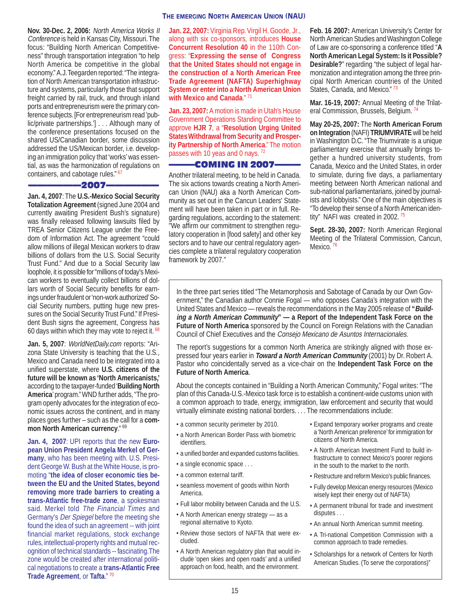#### **THE EMERGING NORTH AMERICAN UNION (NAU)**

**Nov. 30-Dec. 2, 2006:** North America Works II Conference is held in Kansas City, Missouri. The focus: "Building North American Competitiveness" through transportation integration "to help North America be competitive in the global economy." A.J. Teegarden reported: "The integration of North American transportation infrastructure and systems, particularly those that support freight carried by rail, truck, and through inland ports and entrepreneurism were the primary conference subjects. [For entrepreneurism read 'public/private partnerships.'] . . . Although many of the conference presentations focused on the shared US/Canadian border, some discussion addressed the US/Mexican border, i.e. developing an immigration policy that 'works' was essential, as was the harmonization of regulations on containers, and cabotage rules."<sup>67</sup>

#### ——————2007——————

**Jan. 4, 2007**: The **U.S.-Mexico Social Security Totalization Agreement** (signed June 2004 and currently awaiting President Bush's signature) was finally released following lawsuits filed by TREA Senior Citizens League under the Freedom of Information Act. The agreement "could allow millions of illegal Mexican workers to draw billions of dollars from the U.S. Social Security Trust Fund." And due to a Social Security law loophole, it is possible for "millions of today's Mexican workers to eventually collect billions of dollars worth of Social Security benefits for earnings under fraudulent or 'non-work authorized' Social Security numbers, putting huge new pressures on the Social Security Trust Fund." If President Bush signs the agreement, Congress has 60 days within which they may vote to reject it. 68

**Jan. 5, 2007**: WorldNetDaily.com reports: "Arizona State University is teaching that the U.S., Mexico and Canada need to be integrated into a unified superstate, where **U.S. citizens of the future will be known as 'North Americanists,'** according to the taxpayer-funded '**Building North America**' program." WND further adds, "The program openly advocates for the integration of economic issues across the continent, and in many places goes further – such as the call for a **common North American currency**." 69

**Jan. 4, 2007**: UPI reports that the new **European Union President Angela Merkel of Germany**, who has been meeting with. U.S. President George W. Bush at the White House, is promoting "**the idea of closer economic ties between the EU and the United States, beyond removing more trade barriers to creating a trans-Atlantic free-trade zone**, a spokesman said. Merkel told The Financial Times and Germany's Der Spiegel before the meeting she found the idea of such an agreement -- with joint financial market regulations, stock exchange rules, intellectual-property rights and mutual recognition of technical standards -- fascinating.The zone would be created after international political negotiations to create a **trans-Atlantic Free Trade Agreement**, or **Tafta**." 70

**Jan. 22, 2007:** Virginia Rep. Virgil H. Goode, Jr., along with six co-sponsors, introduces **House Concurrent Resolution 40** in the 110th Congress: "**Expressing the sense of Congress that the United States should not engage in the construction of a North American Free Trade Agreement (NAFTA) Superhighway System or enter into a North American Union with Mexico and Canada**." <sup>71</sup>

**Jan. 23, 2007:** A motion is made in Utah's House Government Operations Standing Committee to approve **HJR 7**, a "**Resolution Urging United States Withdrawal from Security and Prosperity Partnership of North America**." The motion passes with 10 yeas and 0 nays. <sup>72</sup>

#### ———COMING IN 2007———

Another trilateral meeting, to be held in Canada. The six actions towards creating a North American Union (NAU) aka a North American Community as set out in the Cancun Leaders' Statement will have been taken in part or in full. Regarding regulations, according to the statement: "We affirm our commitment to strengthen regulatory cooperation in [food safety] and other key sectors and to have our central regulatory agencies complete a trilateral regulatory cooperation framework by 2007."

**Feb. 16 2007:** American University's Center for North American Studies and Washington College of Law are co-sponsoring a conference titled "**A North American Legal System: Is it Possible? Desirable?**" regarding "the subject of legal harmonization and integration among the three principal North American countries of the United States, Canada, and Mexico." 73

**Mar. 16-19, 2007:** Annual Meeting of the Trilateral Commission, Brussels, Belgium. <sup>74</sup>

**May 20-25, 2007:** The **North American Forum on Integration** (NAFI) **TRIUMVIRATE** will be held in Washington D.C. "The Triumvirate is a unique parliamentary exercise that annually brings together a hundred university students, from Canada, Mexico and the United States, in order to simulate, during five days, a parliamentary meeting between North American national and sub-national parliamentarians, joined by journalists and lobbyists." One of the main objectives is "To develop their sense of a North American identity" NAFI was created in 2002.  $75$ 

**Sept. 28-30, 2007:** North American Regional Meeting of the Trilateral Commission, Cancun, Mexico.<sup>76</sup>

In the three part series titled "The Metamorphosis and Sabotage of Canada by our Own Government," the Canadian author Connie Fogal — who opposes Canada's integration with the United States and Mexico — reveals the recommendations in the May 2005 release of **"Building a North American Community" — a Report of the Independent Task Force on the Future of North America** sponsored by the Council on Foreign Relations with the Canadian Council of Chief Executives and the Consejo Mexicano de Asuntos Internacionales.

The report's suggestions for a common North America are strikingly aligned with those expressed four years earlier in **Toward a North American Community** (2001) by Dr. Robert A. Pastor who coincidentally served as a vice-chair on the **Independent Task Force on the Future of North America**.

About the concepts contained in "Building a North American Community," Fogal writes: "The plan of this Canada-U.S.-Mexico task force is to establish a continent-wide customs union with a common approach to trade, energy, immigration, law enforcement and security that would virtually eliminate existing national borders. . . . The recommendations include:

- a common security perimeter by 2010.
- a North American Border Pass with biometric identifiers.
- a unified border and expanded customs facilities.
- a single economic space . . .
- a common external tariff.
- seamless movement of goods within North America.
- Full labor mobility between Canada and the U.S.
- A North American energy strategy as a regional alternative to Kyoto.
- Review those sectors of NAFTA that were excluded.
- A North American regulatory plan that would include 'open skies and open roads' and a unified approach on food, health, and the environment.
- Expand temporary worker programs and create a 'North American preference' for immigration for citizens of North America.
- A North American Investment Fund to build infrastructure to connect Mexico's poorer regions in the south to the market to the north.
- Restructure and reform Mexico's public finances.
- Fully develop Mexican energy resources (Mexico wisely kept their energy out of NAFTA)
- A permanent tribunal for trade and investment disputes . . .
- An annual North American summit meeting.
- A Tri-national Competition Commission with a common approach to trade remedies.
- Scholarships for a network of Centers for North American Studies. (To serve the corporations)"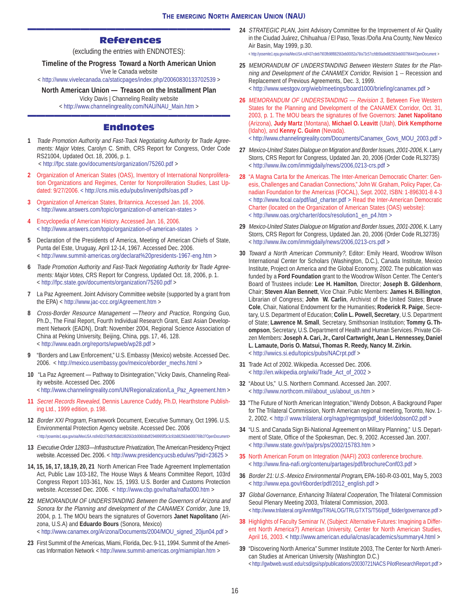### ——————————————————————— References

(excluding the entries with ENDNOTES):

**Timeline of the Progress Toward a North American Union**

Vive le Canada website <<http://www.vivelecanada.ca/staticpages/index.php/20060830133702539> >

#### **North American Union — Treason on the Installment Plan**

Vicky Davis | Channeling Reality website

< [http://www.channelingreality.com/NAU/NAU\\_Main.htm](http://www.channelingreality.com/NAU/NAU_Main.htm) > ———————————————————————

### Endnotes

- **1** Trade Promotion Authority and Fast-Track Negotiating Authority for Trade Agreements: Major Votes, Carolyn C. Smith, CRS Report for Congress, Order Code RS21004, Updated Oct. 18, 2006, p. 1. <<http://fpc.state.gov/documents/organization/75260.pdf>>
- **2** Organization of American States (OAS), Inventory of International Nonproliferation Organizations and Regimes, Center for Nonproliferation Studies, Last Updated: 9/27/2006. < <http://cns.miis.edu/pubs/inven/pdfs/oas.pdf> >
- **3** Organization of American States, Britannica. Accessed Jan. 16, 2006. <<http://www.answers.com/topic/organization-of-american-states> >
- **4** Encyclopedia of American History. Accessed Jan. 16, 2006. <<http://www.answers.com/topic/organization-of-american-states> >
- **5** Declaration of the Presidents of America, Meeting of American Chiefs of State, Punta del Este, Uruguay, April 12-14, 1967. Accessed Dec. 2006. <<http://www.summit-americas.org/declarat%20presidents-1967-eng.htm> >
- **6** Trade Promotion Authority and Fast-Track Negotiating Authority for Trade Agreements: Major Votes, CRS Report for Congress, Updated Oct. 18, 2006, p. 1. <<http://fpc.state.gov/documents/organization/75260.pdf>>
- **7** La Paz Agreement. Joint Advisory Committee website (supported by a grant from the EPA) < <http://www.jac-ccc.org/Agreement.htm>>
- **8** Cross-Border Resource Management —Theory and Practice, Rongxing Guo, Ph.D., The Final Report, Fourth Individual Research Grant, East Asian Development Network (EADN), Draft: November 2004, Regional Science Association of China at Peking University, Beijing, China, pgs. 17, 46, 128. <<http://www.eadn.org/reports/wpweb/wp28.pdf>>
- **9** "Borders and Law Enforcement," U.S. Embassy (Mexico) website. Accessed Dec. 2006. < [http://mexico.usembassy.gov/mexico/eborder\\_mechs.html](http://mexico.usembassy.gov/mexico/eborder_mechs.html) >
- **10** "La Paz Agreement Pathway to Disintegration," Vicky Davis, Channeling Reality website. Accessed Dec. 2006 < [http://www.channelingreality.com/UN/Regionalization/La\\_Paz\\_Agreement.htm](http://www.channelingreality.com/UN/Regionalization/La_Paz_Agreement.htm) >
- **11** Secret Records Revealed, Dennis Laurence Cuddy, Ph.D, Hearthstone Publishing Ltd., 1999 edition, p. 198.
- **12** Border XXI Program, Framework Document, Executive Summary, Oct 1996. U.S. Environmental Protection Agency website. Accessed Dec. 2006 <http://yosemite1.epa.gov/oia/MexUSA.nsf/e92c076dfcf6d8d1882563cb0060dbdf/2948995ff3c3c91b882563eb000769b3?OpenDocument>
- **13** Executive Order 12803—Infrastructure Privatization, The American Presidency Project website. Accessed Dec. 2006. <<http://www.presidency.ucsb.edu/ws/?pid=23625> >
- **14, 15, 16, 17, 18,19, 20, 21** North American Free Trade Agreement Implementation Act, Public Law 103-182, The House Ways & Means Committee Report, 103rd Congress Report 103-361, Nov. 15, 1993. U.S. Border and Customs Protection website. Accessed Dec. 2006. <<http://www.cbp.gov/nafta/nafta000.htm> >
- **22** MEMORANDUM OF UNDERSTANDING Between the Governors of Arizona and Sonora for the Planning and development of the CANAMEX Corridor, June 19, 2004, p. 1. The MOU bears the signatures of Governors **Janet Napolitano** (Arizona, U.S.A) and **Eduardo Bours** (Sonora, Mexico) < [http://www.canamex.org/Arizona/Documents/2004/MOU\\_signed\\_20jun04.pdf](http://www.canamex.org/Arizona/Documents/2004/MOU_signed_20jun04.pdf) >
- **23** First Summit of the Americas, Miami, Florida, Dec. 9-11, 1994. Summit of the Americas Information Network <<http://www.summit-americas.org/miamiplan.htm>>

**24** STRATEGIC PLAN, Joint Advisory Committee for the Improvement of Air Quality in the Ciudad Juárez, Chihuahua / El Paso, Texas /Doña Ana County, New Mexico Air Basin, May 1999, p.30.

< <http://yosemite1.epa.gov/oia/MexUSA.nsf/437cdeb7903fb98f882563eb00052a79/a73c57ccfdb56a9e882563eb00079644!OpenDocument>>

- **25** MEMORANDUM OF UNDERSTANDING Between Western States for the Planning and Development of the CANAMEX Corridor, Revision 1 -- Recession and Replacement of Previous Agreements, Dec. 3, 1999. <<http://www.westgov.org/wieb/meetings/board1000/briefing/canamex.pdf> >
- **26** MEMORANDUM OF UNDERSTANDING Revision 3, Between Five Western States for the Planning and Development of the CANAMEX Corridor, Oct. 31, 2003, p. 1. The MOU bears the signatures of five Governors: **Janet Napolitano** (Arizona), **Judy Martz** (Montana), **Michael O. Leavitt** (Utah), **Dirk Kempthorne** (Idaho), and **Kenny C. Guinn** (Nevada).

< [http://www.channelingreality.com/Documents/Canamex\\_Govs\\_MOU\\_2003.pdf](http://www.channelingreality.com/Documents/Canamex_Govs_MOU_2003.pdf) >

- **27** Mexico-United States Dialogue on Migration and Border Issues, 2001-2006, K. Larry Storrs, CRS Report for Congress, Updated Jan. 20, 2006 (Order Code RL32735) <<http://www.ilw.com/immigdaily/news/2006,0213-crs.pdf>>
- **28** "A Magna Carta for the Americas. The Inter-American Democratic Charter: Genesis, Challenges and Canadian Connections," John W. Graham, Policy Paper, Canadian Foundation for the Americas (FOCAL), Sept. 2002, ISBN: 1-896301-8 4-3 < [http://www.focal.ca/pdf/iad\\_charter.pdf](http://www.focal.ca/pdf/iad_charter.pdf) > Read the Inter-American Democratic Charter (located on the Organization of American States (OAS) website): < [http://www.oas.org/charter/docs/resolution1\\_en\\_p4.htm](http://www.oas.org/charter/docs/resolution1_en_p4.htm) >
- **29** Mexico-United States Dialogue on Migration and Border Issues, 2001-2006, K. Larry Storrs, CRS Report for Congress, Updated Jan. 20, 2006 (Order Code RL32735) <<http://www.ilw.com/immigdaily/news/2006,0213-crs.pdf>>
- **30** Toward a North American Community?, Editor: Emily Heard, Woodrow Wilson International Center for Scholars (Washington, D.C.), Canada Institute, Mexico Institute, Project on America and the Global Economy, 2002. The publication was funded by a **Ford Foundation** grant to the Woodrow Wilson Center. The Center's Board of Trustees include: **Lee H. Hamilton**, Director; **Joseph B. Gildenhorn**, Chair; **Steven Alan Bennett**, Vice Chair. Public Members: **James H. Billington**, Librarian of Congress; **John W. Carlin**, Archivist of the United States; **Bruce Cole**, Chair, National Endowment for the Humanities; **Roderick R. Paige**, Secretary, U.S. Department of Education; **Colin L. Powell, Secretary**, U.S. Department of State; **Lawrence M. Small**, Secretary, Smithsonian Institution; **Tommy G. Thompson**, Secretary, U.S. Department of Health and Human Services. Private Citizen Members: **Joseph A. Cari, Jr., Carol Cartwright, Jean L. Hennessey, Daniel L. Lamaute, Doris O. Matsui, Thomas R. Reedy, Nancy M. Zirkin.** <<http://wwics.si.edu/topics/pubs/NACrpt.pdf> >
- **31** Trade Act of 2002. Wikipedia. Accessed Dec. 2006. < [http://en.wikipedia.org/wiki/Trade\\_Act\\_of\\_2002](http://en.wikipedia.org/wiki/Trade_Act_of_2002) >
- **32** "About Us," U.S. Northern Command. Accessed Jan. 2007. < [http://www.northcom.mil/about\\_us/about\\_us.htm](http://www.northcom.mil/about_us/about_us.htm) >
- **33** "The Future of North American Integration," Wendy Dobson, A Background Paper for The Trilateral Commission, North American regional meeting, Toronto, Nov. 1- 2, 2002. < [http:// www.trilateral.org/nagp/regmtgs/pdf\\_folder/dobson02.pdf](http://www.trilateral.org/nagp/regmtgs/pdf_folder/dobson02.pdf) >
- **34** "U.S. and Canada Sign Bi-National Agreement on Military Planning," U.S. Department of State, Office of the Spokesman, Dec. 9, 2002. Accessed Jan. 2007. <<http://www.state.gov/r/pa/prs/ps/2002/15783.htm> >
- **35** North American Forum on Integration (NAFI) 2003 conference brochure. <<http://www.fina-nafi.org/contenu/partages/pdf/brochureConf03.pdf> >
- **36** Border 21: U.S.-Mexico Environmental Program**,** EPA-160-R-03-001, May 5, 2003 < [http://www.epa.gov/r6border/pdf/2012\\_english.pdf](http://www.epa.gov/r6border/pdf/2012_english.pdf) >
- **37** Global Governance, Enhancing Trilateral Cooperation, The Trilateral Commission Seoul Plenary Meeting 2003, Trilateral Commission, 2003. < [http://www.trilateral.org/AnnMtgs/TRIALOG/TRLGTXTS/T56/pdf\\_folder/governance.pdf](http://www.trilateral.org/AnnMtgs/TRIALOG/TRLGTXTS/T56/pdf_folder/governance.pdf) >
- **38** Highlights of Faculty Seminar IV, (Subject: Alternative Futures: Imagining a Different North America?) American University, Center for North American Studies, April 16, 2003. < <http://www.american.edu/ia/cnas/academics/summary4.html> >
- **39** "Discovering North America" Summer Institute 2003, The Center for North American Studies at American University (Washington D.C.) <<http://gwbweb.wustl.edu/csd/gsi/sp/publications/20030721NACS>PilotResearchReport.pdf >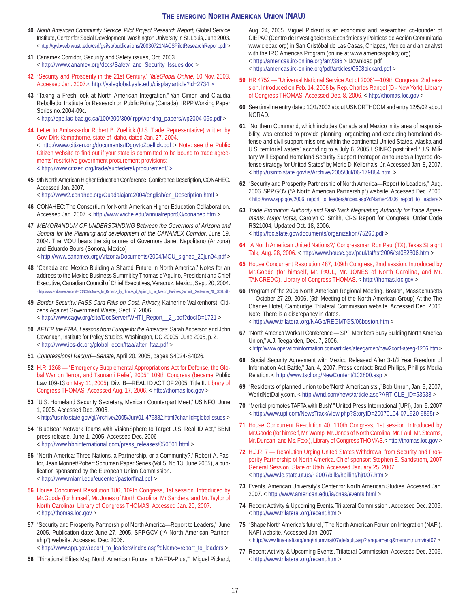#### **THE EMERGING NORTH AMERICAN UNION (NAU)**

- **40** North American Community Service: Pilot Project Research Report, Global Service Institute, Center for Social Development, Washington University in St. Louis, June 2003. <<http://gwbweb.wustl.edu/csd/gsi/sp/publications/20030721NACSPilotResearchReport.pdf> >
- **41** Canamex Corridor, Security and Safety issues, Oct. 2003. < [http://www.canamex.org/docs/Safety\\_and\\_Security\\_Issues.doc](http://www.canamex.org/docs/Safety_and_Security_Issues.doc) >
- **42** "Security and Prosperity in the 21st Century," YaleGlobal Online, 10 Nov. 2003. Accessed Jan. 2007.< <http://yaleglobal.yale.edu/display.article?id=2734>>
- **43** "Taking a Fresh look at North American Integration," Yan Cimon and Claudia Rebolledo, Institute for Research on Public Policy (Canada), IRPP Working Paper Series no. 2004-09c.

< [http://epe.lac-bac.gc.ca/100/200/300/irpp/working\\_papers/wp2004-09c.pdf](http://epe.lac-bac.gc.ca/100/200/300/irpp/working_papers/wp2004-09c.pdf) >

- **44** Letter to Ambassador Robert B. Zoellick (U.S. Trade Representative) written by Gov. Dirk Kempthorne, state of Idaho, dated Jan. 27, 2004. < <http://www.citizen.org/documents/IDgovtoZoellick.pdf> > Note: see the Public Citizen website to find out if your state is committed to be bound to trade agreements' restrictive government procurement provisions: <<http://www.citizen.org/trade/subfederal/procurement/>>
- **45** 9th North American Higher Education Conference, Conference Description, CONAHEC. Accessed Jan. 2007.

< [http://www2.conahec.org/Guadalajara2004/english/en\\_Description.html](http://www2.conahec.org/Guadalajara2004/english/en_Description.html) >

- **46** CONAHEC: The Consortium for North American Higher Education Collaboration. Accessed Jan. 2007. <<http://www.wiche.edu/annualreport03/conahec.htm> >
- **47** MEMORANDUM OF UNDERSTANDING Between the Governors of Arizona and Sonora for the Planning and development of the CANAMEX Corridor, June 19, 2004. The MOU bears the signatures of Governors Janet Napolitano (Arizona) and Eduardo Bours (Sonora, Mexico) < [http://www.canamex.org/Arizona/Documents/2004/MOU\\_signed\\_20jun04.pdf](http://www.canamex.org/Arizona/Documents/2004/MOU_signed_20jun04.pdf) >
- **48** "Canada and Mexico Building a Shared Future in North America," Notes for an
- address to the Mexico Business Summit by Thomas d'Aquino, President and Chief Executive, Canadian Council of Chief Executives, Veracruz, Mexico, Sept. 20, 2004. < [http://www.embamexcan.com/ECONOMY/Notes\\_for\\_Remarks\\_by\\_Thomas\\_d\\_Aquino\\_to\\_the\\_Mexico\\_](http://www.embamexcan.com/ECONOMY/Notes_for_Remarks_by_Thomas_d_Aquino_to_the_Mexico_) Business\_Summit\_\_September\_20\_\_2004.pdf >
- **49** Border Security: PASS Card Fails on Cost, Privacy, Katherine Walkenhorst, Citizens Against Government Waste, Sept. 7, 2006. < [http://www.cagw.org/site/DocServer/WHTI\\_Report\\_\\_2\\_.pdf?docID=1721](http://www.cagw.org/site/DocServer/WHTI_Report__2_.pdf?docID=1721) >
- **50** AFTER the FTAA, Lessons from Europe for the Americas, Sarah Anderson and John Cavanagh, Institute for Policy Studies, Washington, DC 20005, June 2005, p. 2. < [http://www.ips-dc.org/global\\_econ/ftaa/after\\_ftaa.pdf](http://www.ips-dc.org/global_econ/ftaa/after_ftaa.pdf) >
- **51** Congressional Record—Senate**,** April 20, 2005, pages S4024-S4026.
- **52** H.R. 1268 "Emergency Supplemental Appropriations Act for Defense, the Global War on Terror, and Tsunami Relief, 2005," 109th Congress (became Public Law 109-13 on May 11, 2005), Div. B—REAL ID ACT OF 2005, Title II. Library of Congress THOMAS. Accessed Aug. 17, 2006. <<http://thomas.loc.gov>>
- **53** "U.S. Homeland Security Secretary, Mexican Counterpart Meet," USINFO, June 1, 2005. Accessed Dec. 2006.
- < <http://usinfo.state.gov/gi/Archive/2005/Jun/01-476882.html?chanlid=globalissues>>
- **54** "BlueBear Network Teams with VisionSphere to Target U.S. Real ID Act," BBNI press release, June 1, 2005. Accessed Dec. 2006 < [http://www.bbninternational.com/press\\_releases/050601.html](http://www.bbninternational.com/press_releases/050601.html) >
- **55** "North America: Three Nations, a Partnership, or a Community?," Robert A. Pastor, Jean Monnet/Robert Schuman Paper Series (Vol.5, No.13, June 2005), a publication sponsored by the European Union Commission. <<http://www.miami.edu/eucenter/pastorfinal.pdf> >
- **56** House Concurrent Resolution 186, 109th Congress, 1st session. Introduced by Mr.Goode (for himself, Mr. Jones of North Carolina, Mr.Sanders, and Mr. Taylor of North Carolina), Library of Congress THOMAS. Accessed Jan. 20, 2007. <<http://thomas.loc.gov>>
- **57** "Security and Prosperity Partnership of North America—Report to Leaders," June 2005. Publication date: June 27, 2005. SPP.GOV ("A North American Partnership") website. Accessed Dec. 2006.

< [http://www.spp.gov/report\\_to\\_leaders/index.asp?dName=report\\_to\\_leaders](http://www.spp.gov/report_to_leaders/index.asp?dName=report_to_leaders) >

**58** "Trinational Elites Map North American Future in 'NAFTA-Plus**,**'" Miguel Pickard,

Aug. 24, 2005. Miguel Pickard is an economist and researcher, co-founder of CIEPAC (Centro de Investigaciones Económicas y Políticas de Acción Comunitaria www.ciepac.org) in San Cristóbal de Las Casas, Chiapas, Mexico and an analyst with the IRC Americas Program (online at www.americaspolicy.org). <<http://americas.irc-online.org/am/386> > Download pdf

- 
- <<http://americas.irc-online.org/pdf/articles/0508pickard.pdf>>
- **59** HR 4752 "Universal National Service Act of 2006"—109th Congress, 2nd session. Introduced on Feb. 14, 2006 by Rep. Charles Rangel (D - New York). Library of Congress THOMAS. Accessed Dec. 8, 2006. <<http://thomas.loc.gov>>
- **60** See timeline entry dated 10/1/2002 about USNORTHCOM and entry 12/5/02 about NORAD.
- **61** "Northern Command, which includes Canada and Mexico in its area of responsibility, was created to provide planning, organizing and executing homeland defense and civil support missions within the continental United States, Alaska and U.S. territorial waters" according to a July 6, 2005 USINFO post titled "U.S. Military Will Expand Homeland Security Support Pentagon announces a layered defense strategy for United States" by Merle D. Kellerhals, Jr. Accessed Jan. 8, 2007. <<http://usinfo.state.gov/is/Archive/2005/Jul/06-179884.html> >
- **62** "Security and Prosperity Partnership of North America—Report to Leaders," Aug. 2006. SPP.GOV ("A North American Partnership") website. Accessed Dec. 2006. < [http://www.spp.gov/2006\\_report\\_to\\_leaders/index.asp?dName=2006\\_report\\_to\\_leaders](http://www.spp.gov/2006_report_to_leaders/index.asp?dName=2006_report_to_leaders) >
- **63** Trade Promotion Authority and Fast-Track Negotiating Authority for Trade Agreements: Major Votes, Carolyn C. Smith, CRS Report for Congress, Order Code RS21004, Updated Oct. 18, 2006. <<http://fpc.state.gov/documents/organization/75260.pdf>>
- **64** "A North American United Nations?," Congressman Ron Paul (TX), Texas Straight Talk, Aug. 28, 2006. <<http://www.house.gov/paul/tst/tst2006/tst082806.htm> >
- **65** House Concurrent Resolution 487, 109th Congress, 2md session. Introduced by Mr.Goode (for himself, Mr. PAUL, Mr. JONES of North Carolina, and Mr. TANCREDO), Library of Congress THOMAS. <<http://thomas.loc.gov>>
- **66** Program of the 2006 North American Regional Meeting, Boston, Massachusetts — October 27-29, 2006. (5th Meeting of the North American Group) At the The Charles Hotel, Cambridge. Trilateral Commission website. Accessed Dec. 2006. Note: There is a discrepancy in dates. <<http://www.trilateral.org/NAGp/REGMTGS/06boston.htm>>
- **67** "North America Works II Conference SPP Members Busy Building North America Union'" A.J. Teegarden, Dec. 7, 2006. <<http://www.operationinformation.com/articles/ateegarden/naw2conf-ateeg-1206.htm>>
- **68** "Social Security Agreement with Mexico Released After 3-1/2 Year Freedom of Information Act Battle," Jan. 4, 2007. Press contact: Brad Phillips, Phillips Media Relation. < <http://www.tscl.org/NewContent/102800.asp> >
- **69** "Residents of planned union to be 'North Americanists'," Bob Unruh, Jan. 5, 2007, WorldNetDaily.com. < [http://wnd.com/news/article.asp?ARTICLE\\_ID=53633](http://wnd.com/news/article.asp?ARTICLE_ID=53633) >
- **70** "Merkel promotes TAFTA with Bush'," United Press International (UPI), Jan. 5. 2007 <<http://www.upi.com/NewsTrack/view.php?StoryID=20070104-071920-9895r> >
- **71** House Concurrent Resolution 40, 110th Congress, 1st session. Introduced by Mr.Goode (for himself, Mr. Wamp, Mr. Jones of North Carolina, Mr. Paul, Mr. Stearns, Mr. Duncan, and Ms. Foxx), Library of Congress THOMAS.<<http://thomas.loc.gov> >
- **72** H.J.R. 7 Resolution Urging United States Withdrawal from Security and Prosperity Partnership of North America. Chief sponsor: Stephen E. Sandstrom, 2007 General Session, State of Utah. Accessed January 25, 2007. <<http://www.le.state.ut.us/~2007/bills/hbillint/hjr007.htm>>
- **73** Events, American University's Center for North American Studies. Accessed Jan. 2007. < <http://www.american.edu/ia/cnas/events.html> >
- **74** Recent Activity & Upcoming Events. Trilateral Commission . Accessed Dec. 2006. <<http://www.trilateral.org/recent.htm>>
- **75** "Shape North America's future!," The North American Forum on Integration (NAFI). NAFI website. Accessed Jan. 2007. < <http://www.fina-nafi.org/eng/triumvirat07/default.asp?langue=eng&menu=triumvirat07> >
- **77** Recent Activity & Upcoming Events. Trilateral Commission. Accessed Dec. 2006. <<http://www.trilateral.org/recent.htm>>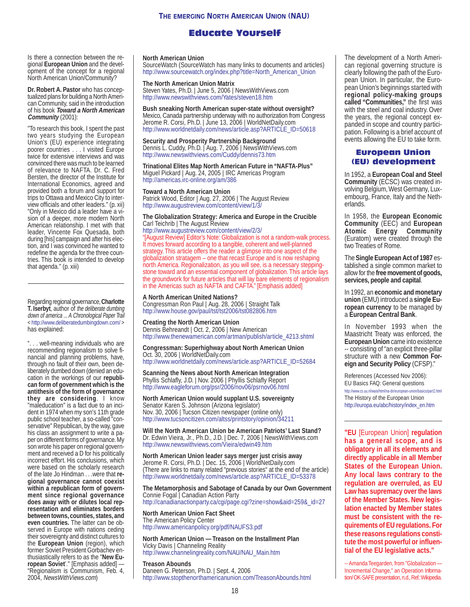## Educate Yourself

Is there a connection between the regional **European Union** and the development of the concept for a regional North American Union/Community?

**Dr. Robert A. Pastor** who has conceptualized plans for building a North American Community, said in the introduction of his book **Toward a North American Community** (2001):

"To research this book, I spent the past two years studying the European Union's (EU) experience integrating poorer countries . . . I visited Europe twice for extensive interviews and was convinced there was much to be learned of relevance to NAFTA. Dr. C. Fred Bersten, the director of the Institute for International Economics, agreed and provided both a forum and support for trips to Ottawa and Mexico City to interview officials and other leaders." (p. xii) "Only in Mexico did a leader have a vision of a deeper, more modern North American relationship. I met with that leader, Vincente Fox Quesada, both during [his] campaign and after his election, and I was convinced he wanted to redefine the agenda for the three countries. This book is intended to develop that agenda." (p. xiii)

Regarding regional governance, **Charlotte T. Iserbyt**, author of the deliberate dumbing down of america ... A Chronological Paper Trail <<http://www.deliberatedumbingdown.com/>> has explained:

". . . well-meaning individuals who are recommending regionalism to solve financial and planning problems, have, through no fault of their own, been deliberately dumbed down (denied an education in the workings of our **republican form of government which is the antithesis of the form of governance they are considering**. I know "maleducation" is a fact due to an incident in 1974 when my son's 11th grade public school teacher, a so-called "conservative" Republican, by the way, gave his class an assignment to write a paper on different forms of governance. My son wrote his paper on regional government and received a D for his politically incorrect effort. His conclusions, which were based on the scholarly research of the late Jo Hindman . . .were that **regional governance cannot coexist within a republican form of government since regional governance does away with or dilutes local representation and eliminates borders between towns, counties, states, and even countries.** The latter can be observed in Europe with nations ceding their sovereignty and distinct cultures to the **European Union** (region), which former Soviet President Gorbachev enthusiastically refers to as the "**New European Soviet**'." [Emphasis added] — "Regionalism is Communism, Feb. 4, 2004, NewsWithViews.com)

#### **North American Union**

SourceWatch (SourceWatch has many links to documents and articles) [http://www.sourcewatch.org/index.php?title=North\\_American\\_Union](http://www.sourcewatch.org/index.php?title=North_American_Union)

#### **The North American Union Matrix**

Steven Yates, Ph.D. | June 5, 2006 | NewsWithViews.com <http://www.newswithviews.com/Yates/steven18.htm>

**Bush sneaking North American super-state without oversight?** Mexico, Canada partnership underway with no authorization from Congress Jerome R. Corsi, Ph.D. | June 13, 2006 | WorldNetDaily.com [http://www.worldnetdaily.com/news/article.asp?ARTICLE\\_ID=50618](http://www.worldnetdaily.com/news/article.asp?ARTICLE_ID=50618)

**Security and Prosperity Partnership Background** Dennis L. Cuddy, Ph.D. | Aug. 7, 2006 | NewsWithViews.com <http://www.newswithviews.com/Cuddy/dennis73.htm>

**Trinational Elites Map North American Future in "NAFTA-Plus"** Miguel Pickard | Aug. 24, 2005 | IRC Americas Program <http://americas.irc-online.org/am/386>

#### **Toward a North American Union**

Patrick Wood, Editor | Aug. 27, 2006 | The August Review <http://www.augustreview.com/content/view/1/3/>

#### **The Globalization Strategy: America and Europe in the Crucible** Carl Teichrib | The August Review

<http://www.augustreview.com/content/view/2/3/>

"[August Review] Editor's Note: Globalization is not a random-walk process. It moves forward according to a tangible, coherent and well-planned strategy. This article offers the reader a glimpse into one aspect of the globalization stratagem – one that recast Europe and is now reshaping north America. Regionalization, as you will see, is a necessary steppingstone toward and an essential component of globalization. This article lays the groundwork for future articles that will lay bare elements of regionalism in the Americas such as NAFTA and CAFTA." [Emphasis added]

#### **A North American United Nations?**

Congressman Ron Paul | Aug. 28, 2006 | Straight Talk <http://www.house.gov/paul/tst/tst2006/tst082806.htm>

**Creating the North American Union** Dennis Behreandt | Oct. 2, 2006 | New American [http://www.thenewamerican.com/artman/publish/article\\_4213.shtml](http://www.thenewamerican.com/artman/publish/article_4213.shtml)

#### **Congressman: Superhighway about North American Union** Oct. 30, 2006 | WorldNetDaily.com

[http://www.worldnetdaily.com/news/article.asp?ARTICLE\\_ID=52684](http://www.worldnetdaily.com/news/article.asp?ARTICLE_ID=52684)

**Scanning the News about North American Integration** Phyllis Schlafly, J.D. | Nov. 2006 | Phyllis Schlafly Report <http://www.eagleforum.org/psr/2006/nov06/psrnov06.html>

**North American Union would supplant U.S. sovereignty** Senator Karen S. Johnson (Arizona legislator) Nov. 30, 2006 | Tucson Citizen newspaper (online only) <http://www.tucsoncitizen.com/altss/printstory/opinion/34211>

**Will the North American Union be American Patriots' Last Stand?** Dr. Edwin Vieira, Jr., Ph.D., J.D. | Dec. 7, 2006 | NewsWithViews.com <http://www.newswithviews.com/Vieira/edwin49.htm>

**North American Union leader says merger just crisis away** Jerome R. Corsi, Ph.D. | Dec. 15, 2006 | WorldNetDaily.com (There are links to many related "previous stories" at the end of the article) [http://www.worldnetdaily.com/news/article.asp?ARTICLE\\_ID=53378](http://www.worldnetdaily.com/news/article.asp?ARTICLE_ID=53378)

#### **The Metamorphosis and Sabotage of Canada by our Own Government** Connie Fogal | Canadian Action Party

[http://canadianactionparty.ca/cgi/page.cgi?zine=show&aid=259&\\_id=27](http://canadianactionparty.ca/cgi/page.cgi?zine=show&aid=259&_id=27)

### **North American Union Fact Sheet**

The American Policy Center <http://www.americanpolicy.org/pdf/NAUFS3.pdf>

#### **North American Union — Treason on the Installment Plan** Vicky Davis | Channeling Reality [http://www.channelingreality.com/NAU/NAU\\_Main.htm](http://www.channelingreality.com/NAU/NAU_Main.htm)

**Treason Abounds**

Daneen G. Peterson, Ph.D. | Sept. 4, 2006 <http://www.stopthenorthamericanunion.com/TreasonAbounds.html> The development of a North American regional governing structure is clearly following the path of the European Union. In particular, the European Union's beginnings started with **regional policy-making groups called "Communities,"** the first was with the steel and coal industry. Over the years, the regional concept expanded in scope and country participation. Following is a brief account of events allowing the EU to take form.

### European Union (EU) development

In 1952, a **European Coal and Steel Community** (ECSC) was created involving Belgium, West Germany, Luxembourg, France, Italy and the Netherlands.

In 1958, the **European Economic Community** (EEC) and **European Atomic** Energy (Euratom) were created through the two Treaties of Rome.

The **Single European Act of 1987** established a single common market to allow for the **free movement of goods, services, people and capital**.

In 1992, an **economic and monetary union** (EMU) introduced a **single European currency** to be managed by a **European Central Bank**.

In November 1993 when the Maastricht Treaty was enforced, the **European Union** came into existence -- consisting of "an explicit three-pillar structure with a new **Common Foreign and Security Policy** (CFSP)."

References (Accessed Nov 2006): EU Basics FAQ: General questions <http://www.cs.uu.nl/wais/html/na-dir/european-union/basics/part2.html> The History of the European Union [http://europa.eu/abc/history/index\\_en.htm](http://europa.eu/abc/history/index_en.htm)

**"EU** [European Union] **regulation has a general scope, and is obligatory in all its elements and directly applicable in all Member States of the European Union. Any local laws contrary to the regulation are overruled, as EU Law has supremacy over the laws of the Member States. New legislation enacted by Member states must be consistent with the requirements of EU regulations. For these reasons regulations constitute the most powerful or influential of the EU legislative acts."**

-- Amanda Teegarden, from "Globalization — Incremental Change," an Operation Information/ OK-SAFE presentation, n.d., Ref.: Wikipedia.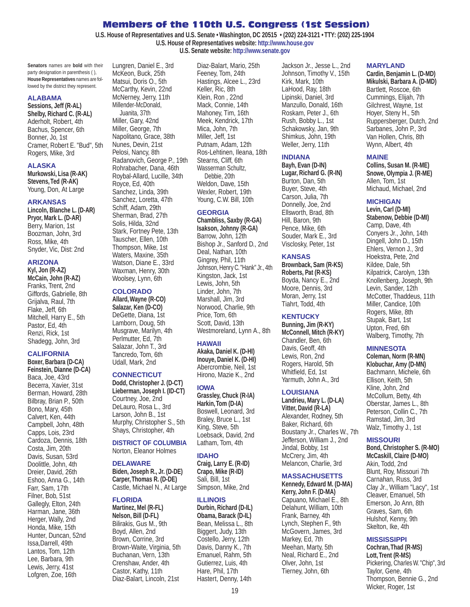### Members of the 110th U.S. Congress (1st Session)

**U.S. House of Representatives and U.S. Senate • Washington, DC 20515 • (202) 224-3121 • TTY: (202) 225-1904 U.S. House of Representatives website:<http://www.house.gov> U.S. Senate website: <http://www.senate.gov>**

**Senators** names are **bold** with their party designation in parenthesis ( ), **House Representatives** names are followed by the district they represent.

#### **ALABAMA**

**Sessions, Jeff (R-AL) Shelby, Richard C. (R-AL)** Aderholt, Robert, 4th Bachus, Spencer, 6th Bonner, Jo, 1st Cramer, Robert E. "Bud", 5th Rogers, Mike, 3rd

#### **ALASKA**

**Murkowski, Lisa (R-AK) Stevens, Ted (R-AK)** Young, Don, At Large

#### **ARKANSAS**

**Lincoln, Blanche L. (D-AR) Pryor, Mark L. (D-AR)** Berry, Marion, 1st Boozman, John, 3rd Ross, Mike, 4th Snyder, Vic, Dist: 2nd

#### **ARIZONA**

**Kyl, Jon (R-AZ) McCain, John (R-AZ)** Franks, Trent, 2nd Giffords, Gabrielle, 8th Grijalva, Raul, 7th Flake, Jeff, 6th Mitchell, Harry E., 5th Pastor, Ed, 4th Renzi, Rick, 1st Shadegg, John, 3rd

#### **CALIFORNIA**

**Boxer, Barbara (D-CA) Feinstein, Dianne (D-CA)** Baca, Joe, 43rd Becerra, Xavier, 31st Berman, Howard, 28th Bilbray, Brian P., 50th Bono, Mary, 45th Calvert, Ken, 44th Campbell, John, 48th Capps, Lois, 23rd Cardoza, Dennis, 18th Costa, Jim, 20th Davis, Susan, 53rd Doolittle, John, 4th Dreier, David, 26th Eshoo, Anna G., 14th Farr, Sam, 17th Filner, Bob, 51st Gallegly, Elton, 24th Harman, Jane, 36th Herger, Wally, 2nd Honda, Mike, 15th Hunter, Duncan, 52nd Issa,Darrell, 49th Lantos, Tom, 12th Lee, Barbara, 9th Lewis, Jerry, 41st Lofgren, Zoe, 16th

McKeon, Buck, 25th Matsui, Doris O., 5th McCarthy, Kevin, 22nd McNerney, Jerry, 11th Millender-McDonald, Juanita, 37th Miller, Gary, 42nd Miller, George, 7th Napolitano, Grace, 38th Nunes, Devin, 21st Pelosi, Nancy, 8th Radanovich, George P., 19th Rohrabacher, Dana, 46th Roybal-Allard, Lucille, 34th Royce, Ed, 40th Sanchez, Linda, 39th Sanchez, Loretta, 47th Schiff, Adam, 29th Sherman, Brad, 27th Solis, Hilda, 32nd Stark, Fortney Pete, 13th Tauscher, Ellen, 10th Thompson, Mike, 1st Waters, Maxine, 35th Watson, Diane E., 33rd Waxman, Henry, 30th

Lungren, Daniel E., 3rd

### **COLORADO**

Woolsey, Lynn, 6th

**Allard, Wayne (R-CO) Salazar, Ken (D-CO)** DeGette, Diana, 1st Lamborn, Doug, 5th Musgrave, Marilyn, 4th Perlmutter, Ed, 7th Salazar, John T., 3rd Tancredo, Tom, 6th Udall, Mark, 2nd

#### **CONNECTICUT**

**Dodd, Christopher J. (D-CT) Lieberman, Joseph I. (ID-CT)** Courtney, Joe, 2nd DeLauro, Rosa L., 3rd Larson, John B., 1st Murphy, Christopher S., 5th Shays, Christopher, 4th

#### **DISTRICT OF COLUMBIA** Norton, Eleanor Holmes

#### **DELAWARE**

**Biden, Joseph R., Jr. (D-DE) Carper, Thomas R. (D-DE)** Castle, Michael N., At Large

#### **FLORIDA**

**Martinez, Mel (R-FL) Nelson, Bill (D-FL)** Bilirakis, Gus M., 9th Boyd, Allen, 2nd Brown, Corrine, 3rd Brown-Waite, Virginia, 5th Buchanan, Vern, 13th Crenshaw, Ander, 4th Castor, Kathy, 11th Diaz-Balart, Lincoln, 21st

Diaz-Balart, Mario, 25th Feeney, Tom, 24th Hastings, Alcee L., 23rd Keller, Ric, 8th Klein, Ron , 22nd Mack, Connie, 14th Mahoney, Tim, 16th Meek, Kendrick, 17th Mica, John, 7th Miller, Jeff, 1st Putnam, Adam, 12th Ros-Lehtinen, Ileana, 18th Stearns, Cliff, 6th Wasserman Schultz, Debbie, 20th Weldon, Dave, 15th Wexler, Robert, 19th Young, C.W. Bill, 10th

#### **GEORGIA**

**Chambliss, Saxby (R-GA) Isakson, Johnny (R-GA)** Barrow, John, 12th Bishop Jr., Sanford D., 2nd Deal, Nathan, 10th Gingrey, Phil, 11th Johnson, Henry C. "Hank" Jr., 4th Kingston, Jack, 1st Lewis, John, 5th Linder, John, 7th Marshall, Jim, 3rd Norwood, Charlie, 9th Price, Tom, 6th Scott, David, 13th Westmoreland, Lynn A., 8th

#### **HAWAII**

**Akaka, Daniel K. (D-HI) Inouye, Daniel K. (D-HI)** Abercrombie, Neil, 1st Hirono, Mazie K., 2nd

### **IOWA**

**Grassley, Chuck (R-IA) Harkin, Tom (D-IA)** Boswell, Leonard, 3rd Braley, Bruce L., 1st King, Steve, 5th Loebsack, David, 2nd Latham, Tom, 4th

#### **IDAHO**

**Craig, Larry E. (R-ID) Crapo, Mike (R-ID)** Sali, Bill, 1st Simpson, Mike, 2nd

#### **ILLINOIS**

**Durbin, Richard (D-IL) Obama, Barack (D-IL)** Bean, Melissa L., 8th Biggert, Judy, 13th Costello, Jerry, 12th Davis, Danny K., 7th Emanuel, Rahm, 5th Gutierrez, Luis, 4th Hare, Phil, 17th Hastert, Denny, 14th

Jackson Jr., Jesse L., 2nd Johnson, Timothy V., 15th Kirk, Mark, 10th LaHood, Ray, 18th Lipinski, Daniel, 3rd Manzullo, Donald, 16th Roskam, Peter J., 6th Rush, Bobby L., 1st Schakowsky, Jan, 9th Shimkus, John, 19th Weller, Jerry, 11th

#### **INDIANA**

**Bayh, Evan (D-IN) Lugar, Richard G. (R-IN)** Burton, Dan, 5th Buyer, Steve, 4th Carson, Julia, 7th Donnelly, Joe, 2nd Ellsworth, Brad, 8th Hill, Baron, 9th Pence, Mike, 6th Souder, Mark E., 3rd Visclosky, Peter, 1st

#### **KANSAS**

**Brownback, Sam (R-KS) Roberts, Pat (R-KS)** Boyda, Nancy E., 2nd Moore, Dennis, 3rd Moran, Jerry, 1st Tiahrt, Todd, 4th

### **KENTUCKY**

**Bunning, Jim (R-KY) McConnell, Mitch (R-KY)** Chandler, Ben, 6th Davis, Geoff, 4th Lewis, Ron, 2nd Rogers, Harold, 5th Whitfield, Ed, 1st Yarmuth, John A., 3rd

#### **LOUISIANA**

**Landrieu, Mary L. (D-LA) Vitter, David (R-LA)** Alexander, Rodney, 5th Baker, Richard, 6th Boustany Jr., Charles W., 7th Jefferson, William J., 2nd Jindal, Bobby, 1st McCrery, Jim, 4th Melancon, Charlie, 3rd

### **MASSACHUSETTS**

**Kennedy, Edward M. (D-MA) Kerry, John F. (D-MA)** Capuano, Michael E., 8th Delahunt, William, 10th Frank, Barney, 4th Lynch, Stephen F., 9th McGovern, James, 3rd Markey, Ed, 7th Meehan, Marty, 5th Neal, Richard E., 2nd Olver, John, 1st Tierney, John, 6th

#### **MARYLAND**

**Cardin, Benjamin L. (D-MD) Mikulski, Barbara A. (D-MD)** Bartlett, Roscoe, 6th Cummings, Elijah, 7th Gilchrest, Wayne, 1st Hoyer, Steny H., 5th Ruppersberger, Dutch, 2nd Sarbanes, John P., 3rd Van Hollen, Chris, 8th Wynn, Albert, 4th

#### **MAINE**

**Collins, Susan M. (R-ME) Snowe, Olympia J. (R-ME)** Allen, Tom, 1st Michaud, Michael, 2nd

### **MICHIGAN**

**Levin, Carl (D-MI) Stabenow, Debbie (D-MI)** Camp, Dave, 4th Conyers Jr., John, 14th Dingell, John D., 15th Ehlers, Vernon J., 3rd Hoekstra, Pete, 2nd Kildee, Dale, 5th Kilpatrick, Carolyn, 13th Knollenberg, Joseph, 9th Levin, Sander, 12th McCotter, Thaddeus, 11th Miller, Candice, 10th Rogers, Mike, 8th Stupak, Bart, 1st Upton, Fred, 6th Walberg, Timothy, 7th

#### **MINNESOTA**

**Coleman, Norm (R-MN) Klobuchar, Amy (D-MN)** Bachmann, Michele, 6th Ellison, Keith, 5th Kline, John, 2nd McCollum, Betty, 4th Oberstar, James L., 8th Peterson, Collin C., 7th Ramstad, Jim, 3rd Walz, Timothy J., 1st

#### **MISSOURI**

**Bond, Christopher S. (R-MO) McCaskill, Claire (D-MO)** Akin, Todd, 2nd Blunt, Roy, Missouri 7th Carnahan, Russ, 3rd Clay Jr., William "Lacy", 1st Cleaver, Emanuel, 5th Emerson, Jo Ann, 8th Graves, Sam, 6th Hulshof, Kenny, 9th Skelton, Ike, 4th

### **MISSISSIPPI**

**Cochran, Thad (R-MS) Lott, Trent (R-MS)** Pickering, Charles W. "Chip", 3rd Taylor, Gene, 4th Thompson, Bennie G., 2nd Wicker, Roger, 1st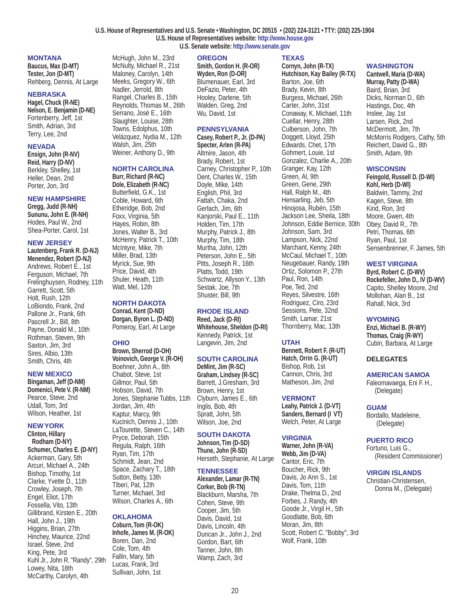#### **U.S. House of Representatives and U.S. Senate • Washington, DC 20515 • (202) 224-3121 • TTY: (202) 225-1904 U.S. House of Representatives website:<http://www.house.gov> U.S. Senate website: <http://www.senate.gov>**

#### **MONTANA**

**Baucus, Max (D-MT) Tester, Jon (D-MT)** Rehberg, Dennis, At Large

#### **NEBRASKA**

**Hagel, Chuck (R-NE) Nelson, E. Benjamin (D-NE)** Fortenberry, Jeff, 1st Smith, Adrian, 3rd Terry, Lee, 2nd

#### **NEVADA**

**Ensign, John (R-NV) Reid, Harry (D-NV)** Berkley, Shelley, 1st Heller, Dean, 2nd Porter, Jon, 3rd

### **NEW HAMPSHIRE**

**Gregg, Judd (R-NH) Sununu, John E. (R-NH)** Hodes, Paul W., 2nd Shea-Porter, Carol, 1st

### **NEW JERSEY**

**Lautenberg, Frank R. (D-NJ) Menendez, Robert (D-NJ)** Andrews, Robert E., 1st Ferguson, Michael, 7th Frelinghuysen, Rodney, 11th Garrett, Scott, 5th Holt, Rush, 12th LoBiondo, Frank, 2nd Pallone Jr., Frank, 6th Pascrell Jr., Bill, 8th Payne, Donald M., 10th Rothman, Steven, 9th Saxton, Jim, 3rd Sires, Albio, 13th Smith, Chris, 4th

#### **NEW MEXICO**

**Bingaman, Jeff (D-NM) Domenici, Pete V. (R-NM)** Pearce, Steve, 2nd Udall, Tom, 3rd Wilson, Heather, 1st

#### **NEW YORK**

**Clinton, Hillary Rodham (D-NY) Schumer, Charles E. (D-NY)** Ackerman, Gary, 5th Arcuri, Michael A., 24th Bishop, Timothy, 1st Clarke, Yvette D., 11th Crowley, Joseph, 7th Engel, Eliot, 17th Fossella, Vito, 13th Gillibrand, Kirsten E., 20th Hall, John J., 19th Higgins, Brian, 27th Hinchey, Maurice, 22nd Israel, Steve, 2nd King, Pete, 3rd Kuhl Jr., John R. "Randy", 29th Lowey, Nita, 18th McCarthy, Carolyn, 4th

#### **OREGON**

McHugh, John M., 23rd McNulty, Michael R., 21st Maloney, Carolyn, 14th Meeks, Gregory W., 6th Nadler, Jerrold, 8th Rangel, Charles B., 15th Reynolds, Thomas M., 26th Serrano, José E., 16th Slaughter, Louise, 28th Towns, Edolphus, 10th Velázquez, Nydia M., 12th Walsh, Jim, 25th Weiner, Anthony D., 9th

**NORTH CAROLINA Burr, Richard (R-NC) Dole, Elizabeth (R-NC)** Butterfield, G.K., 1st Coble, Howard, 6th Etheridge, Bob, 2nd Foxx, Virginia, 5th Hayes, Robin, 8th Jones, Walter B., 3rd McHenry, Patrick T., 10th McIntyre, Mike, 7th Miller, Brad, 13th Myrick, Sue, 9th Price, David, 4th Shuler, Heath, 11th Watt, Mel, 12th

**NORTH DAKOTA Conrad, Kent (D-ND) Dorgan, Byron L. (D-ND)** Pomeroy, Earl, At Large

**Brown, Sherrod (D-OH) Voinovich, George V. (R-OH)** Boehner, John A., 8th Chabot, Steve, 1st Gillmor, Paul, 5th Hobson, David, 7th

Jordan, Jim, 4th Kaptur, Marcy, 9th Kucinich, Dennis J., 10th LaTourette, Steven C., 14th Pryce, Deborah, 15th Regula, Ralph, 16th Ryan, Tim, 17th Schmidt, Jean, 2nd Space, Zachary T., 18th Sutton, Betty, 13th Tiberi, Pat, 12th Turner, Michael, 3rd Wilson, Charles A., 6th

**OKLAHOMA Coburn, Tom (R-OK) Inhofe, James M. (R-OK)** Boren, Dan, 2nd Cole, Tom, 4th Fallin, Mary, 5th Lucas, Frank, 3rd Sullivan, John, 1st

Jones, Stephanie Tubbs, 11th

**OHIO**

**Smith, Gordon H. (R-OR) Wyden, Ron (D-OR)** Blumenauer, Earl, 3rd DeFazio, Peter, 4th Hooley, Darlene, 5th Walden, Greg, 2nd Wu, David, 1st

#### **PENNSYLVANIA**

**Casey, Robert P., Jr. (D-PA) Specter, Arlen (R-PA)** Altmire, Jason, 4th Brady, Robert, 1st Carney, Christopher P., 10th Dent, Charles W., 15th Doyle, Mike, 14th English, Phil, 3rd Fattah, Chaka, 2nd Gerlach, Jim, 6th Kanjorski, Paul E., 11th Holden, Tim, 17th Murphy, Patrick J., 8th Murphy, Tim, 18th Murtha, John, 12th Peterson, John E., 5th Pitts, Joseph R., 16th Platts, Todd, 19th Schwartz, Allyson Y., 13th Sestak, Joe, 7th Shuster, Bill, 9th

### **RHODE ISLAND**

**Reed, Jack (D-RI) Whitehouse, Sheldon (D-RI)** Kennedy, Patrick, 1st Langevin, Jim, 2nd

### **SOUTH CAROLINA**

**DeMint, Jim (R-SC) Graham, Lindsey (R-SC)** Barrett, J.Gresham, 3rd Brown, Henry, 1st Clyburn, James E., 6th Inglis, Bob, 4th Spratt, John, 5th Wilson, Joe, 2nd

### **SOUTH DAKOTA**

**Johnson, Tim (D-SD) Thune, John (R-SD)** Herseth, Stephanie, At Large

#### **TENNESSEE**

**Alexander, Lamar (R-TN) Corker, Bob (R-TN)** Blackburn, Marsha, 7th Cohen, Steve, 9th Cooper, Jim, 5th Davis, David, 1st Davis, Lincoln, 4th Duncan Jr., John J., 2nd Gordon, Bart, 6th Tanner, John, 8th Wamp, Zach, 3rd

### **TEXAS**

**Cornyn, John (R-TX) Hutchison, Kay Bailey (R-TX)** Barton, Joe, 6th Brady, Kevin, 8th Burgess, Michael, 26th Carter, John, 31st Conaway, K. Michael, 11th Cuellar, Henry, 28th Culberson, John, 7th Doggett, Lloyd, 25th Edwards, Chet, 17th Gohmert, Louie, 1st Gonzalez, Charlie A., 20th Granger, Kay, 12th Green, Al, 9th Green, Gene, 29th Hall, Ralph M., 4th Hensarling, Jeb, 5th Hinojosa, Rubén, 15th Jackson Lee, Sheila, 18th Johnson, Eddie Bernice, 30th Johnson, Sam, 3rd Lampson, Nick, 22nd Marchant, Kenny, 24th McCaul, Michael T., 10th Neugebauer, Randy, 19th Ortiz, Solomon P., 27th Paul, Ron, 14th Poe, Ted, 2nd Reyes, Silvestre, 16th Rodriguez, Ciro, 23rd Sessions, Pete, 32nd Smith, Lamar, 21st Thornberry, Mac, 13th

### **UTAH**

**Bennett, Robert F. (R-UT) Hatch, Orrin G. (R-UT)** Bishop, Rob, 1st Cannon, Chris, 3rd Matheson, Jim, 2nd

### **VERMONT**

**Leahy, Patrick J. (D-VT) Sanders, Bernard (I VT)** Welch, Peter, At Large

### **VIRGINIA**

**Warner, John (R-VA) Webb, Jim (D-VA)** Cantor, Eric, 7th Boucher, Rick, 9th Davis, Jo Ann S., 1st Davis, Tom, 11th Drake, Thelma D., 2nd Forbes, J. Randy, 4th Goode Jr., Virgil H., 5th Goodlatte, Bob, 6th Moran, Jim, 8th Scott, Robert C. "Bobby", 3rd Wolf, Frank, 10th

### **WASHINGTON**

**Cantwell, Maria (D-WA) Murray, Patty (D-WA)** Baird, Brian, 3rd Dicks, Norman D., 6th Hastings, Doc, 4th Inslee, Jay, 1st Larsen, Rick, 2nd McDermott, Jim, 7th McMorris Rodgers, Cathy, 5th Reichert, David G., 8th Smith, Adam, 9th

### **WISCONSIN**

**Feingold, Russell D. (D-WI) Kohl, Herb (D-WI)**

Baldwin, Tammy, 2nd Kagen, Steve, 8th Kind, Ron, 3rd Moore, Gwen, 4th Obey, David R., 7th Petri, Thomas, 6th Ryan, Paul, 1st Sensenbrenner, F. James, 5th

### **WEST VIRGINIA**

**Byrd, Robert C. (D-WV) Rockefeller, John D., IV (D-WV)** Capito, Shelley Moore, 2nd Mollohan, Alan B., 1st Rahall, Nick, 3rd

### **WYOMING**

**Enzi, Michael B. (R-WY) Thomas, Craig (R-WY)** Cubin, Barbara, At Large

### **DELEGATES**

### **AMERICAN SAMOA**

Faleomavaega, Eni F. H., (Delegate)

### **GUAM**

Bordallo, Madeleine, (Delegate)

### **PUERTO RICO**

Fortuno, Luis G., (Resident Commissioner)

#### **VIRGIN ISLANDS**

Christian-Christensen, Donna M., (Delegate)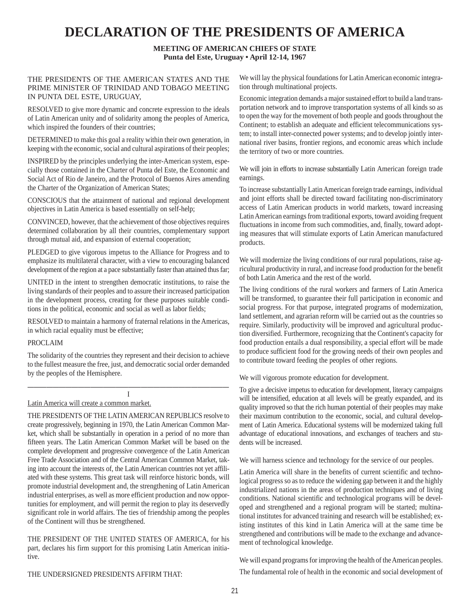# **DECLARATION OF THE PRESIDENTS OF AMERICA**

**MEETING OF AMERICAN CHIEFS OF STATE Punta del Este, Uruguay • April 12-14, 1967**

### THE PRESIDENTS OF THE AMERICAN STATES AND THE PRIME MINISTER OF TRINIDAD AND TOBAGO MEETING IN PUNTA DEL ESTE, URUGUAY,

RESOLVED to give more dynamic and concrete expression to the ideals of Latin American unity and of solidarity among the peoples of America, which inspired the founders of their countries;

DETERMINED to make this goal a reality within their own generation, in keeping with the economic, social and cultural aspirations of their peoples;

INSPIRED by the principles underlying the inter-American system, especially those contained in the Charter of Punta del Este, the Economic and Social Act of Rio de Janeiro, and the Protocol of Buenos Aires amending the Charter of the Organization of American States;

CONSCIOUS that the attainment of national and regional development objectives in Latin America is based essentially on self-help;

CONVINCED, however, that the achievement of those objectives requires determined collaboration by all their countries, complementary support through mutual aid, and expansion of external cooperation;

PLEDGED to give vigorous impetus to the Alliance for Progress and to emphasize its multilateral character, with a view to encouraging balanced development of the region at a pace substantially faster than attained thus far;

UNITED in the intent to strengthen democratic institutions, to raise the living standards of their peoples and to assure their increased participation in the development process, creating for these purposes suitable conditions in the political, economic and social as well as labor fields;

RESOLVED to maintain a harmony of fraternal relations in the Americas, in which racial equality must be effective;

#### PROCLAIM

The solidarity of the countries they represent and their decision to achieve to the fullest measure the free, just, and democratic social order demanded by the peoples of the Hemisphere.

#### ———————————————————————————————— I

#### Latin America will create a common market.

THE PRESIDENTS OF THE LATIN AMERICAN REPUBLICS resolve to create progressively, beginning in 1970, the Latin American Common Market, which shall be substantially in operation in a period of no more than fifteen years. The Latin American Common Market will be based on the complete development and progressive convergence of the Latin American Free Trade Association and of the Central American Common Market, taking into account the interests of, the Latin American countries not yet affiliated with these systems. This great task will reinforce historic bonds, will promote industrial development and, the strengthening of Latin American industrial enterprises, as well as more efficient production and now opportunities for employment, and will permit the region to play its deservedly significant role in world affairs. The ties of friendship among the peoples of the Continent will thus be strengthened.

THE PRESIDENT OF THE UNITED STATES OF AMERICA, for his part, declares his firm support for this promising Latin American initiative.

We will lay the physical foundations for Latin American economic integration through multinational projects.

Economic integration demands a major sustained effort to build a land transportation network and to improve transportation systems of all kinds so as to open the way for the movement of both people and goods throughout the Continent; to establish an adequate and efficient telecommunications system; to install inter-connected power systems; and to develop jointly international river basins, frontier regions, and economic areas which include the territory of two or more countries.

We will join in efforts to increase substantially Latin American foreign trade earnings.

To increase substantially Latin American foreign trade earnings, individual and joint efforts shall be directed toward facilitating non-discriminatory access of Latin American products in world markets, toward increasing Latin American earnings from traditional exports, toward avoiding frequent fluctuations in income from such commodities, and, finally, toward adopting measures that will stimulate exports of Latin American manufactured products.

We will modernize the living conditions of our rural populations, raise agricultural productivity in rural, and increase food production for the benefit of both Latin America and the rest of the world.

The living conditions of the rural workers and farmers of Latin America will be transformed, to guarantee their full participation in economic and social progress. For that purpose, integrated programs of modernization, land settlement, and agrarian reform will be carried out as the countries so require. Similarly, productivity will be improved and agricultural production diversified. Furthermore, recognizing that the Continent's capacity for food production entails a dual responsibility, a special effort will be made to produce sufficient food for the growing needs of their own peoples and to contribute toward feeding the peoples of other regions.

We will vigorous promote education for development.

To give a decisive impetus to education for development, literacy campaigns will be intensified, education at all levels will be greatly expanded, and its quality improved so that the rich human potential of their peoples may make their maximum contribution to the economic, social, and cultural development of Latin America. Educational systems will be modernized taking full advantage of educational innovations, and exchanges of teachers and students will be increased.

We will harness science and technology for the service of our peoples.

Latin America will share in the benefits of current scientific and technological progress so as to reduce the widening gap between it and the highly industrialized nations in the areas of production techniques and of living conditions. National scientific and technological programs will be developed and strengthened and a regional program will be started; multinational institutes for advanced training and research will be established; existing institutes of this kind in Latin America will at the same time be strengthened and contributions will be made to the exchange and advancement of technological knowledge.

We will expand programs for improving the health of the American peoples. The fundamental role of health in the economic and social development of

THE UNDERSIGNED PRESIDENTS AFFIRM THAT: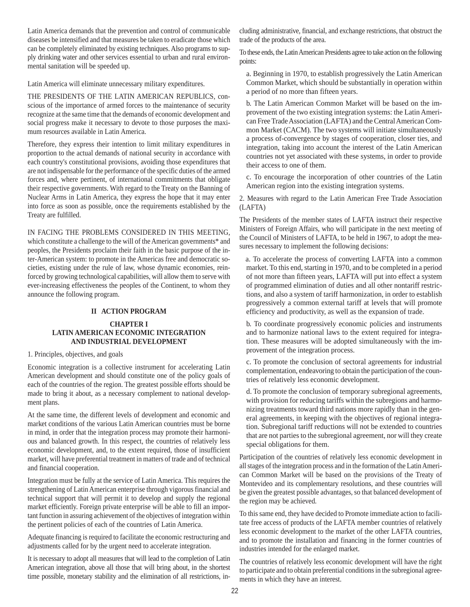Latin America demands that the prevention and control of communicable diseases be intensified and that measures be taken to eradicate those which can be completely eliminated by existing techniques. Also programs to supply drinking water and other services essential to urban and rural environmental sanitation will be speeded up.

Latin America will eliminate unnecessary military expenditures.

THE PRESIDENTS OF THE LATIN AMERICAN REPUBLICS, conscious of the importance of armed forces to the maintenance of security recognize at the same time that the demands of economic development and social progress make it necessary to devote to those purposes the maximum resources available in Latin America.

Therefore, they express their intention to limit military expenditures in proportion to the actual demands of national security in accordance with each country's constitutional provisions, avoiding those expenditures that are not indispensable for the performance of the specific duties of the armed forces and, where pertinent, of international commitments that obligate their respective governments. With regard to the Treaty on the Banning of Nuclear Arms in Latin America, they express the hope that it may enter into force as soon as possible, once the requirements established by the Treaty are fulfilled.

IN FACING THE PROBLEMS CONSIDERED IN THIS MEETING, which constitute a challenge to the will of the American governments\* and peoples, the Presidents proclaim their faith in the basic purpose of the inter-American system: to promote in the Americas free and democratic societies, existing under the rule of law, whose dynamic economies, reinforced by growing technological capabilities, will allow them to serve with ever-increasing effectiveness the peoples of the Continent, to whom they announce the following program.

### **II ACTION PROGRAM**

### **CHAPTER I LATIN AMERICAN ECONOMIC INTEGRATION AND INDUSTRIAL DEVELOPMENT**

### 1. Principles, objectives, and goals

Economic integration is a collective instrument for accelerating Latin American development and should constitute one of the policy goals of each of the countries of the region. The greatest possible efforts should be made to bring it about, as a necessary complement to national development plans.

At the same time, the different levels of development and economic and market conditions of the various Latin American countries must be borne in mind, in order that the integration process may promote their harmonious and balanced growth. In this respect, the countries of relatively less economic development, and, to the extent required, those of insufficient market, will have preferential treatment in matters of trade and of technical and financial cooperation.

Integration must be fully at the service of Latin America. This requires the strengthening of Latin American enterprise through vigorous financial and technical support that will permit it to develop and supply the regional market efficiently. Foreign private enterprise will be able to fill an important function in assuring achievement of the objectives of integration within the pertinent policies of each of the countries of Latin America.

Adequate financing is required to facilitate the economic restructuring and adjustments called for by the urgent need to accelerate integration.

It is necessary to adopt all measures that will lead to the completion of Latin American integration, above all those that will bring about, in the shortest time possible, monetary stability and the elimination of all restrictions, including administrative, financial, and exchange restrictions, that obstruct the trade of the products of the area.

To these ends, the Latin American Presidents agree to take action on the following points:

a. Beginning in 1970, to establish progressively the Latin American Common Market, which should be substantially in operation within a period of no more than fifteen years.

b. The Latin American Common Market will be based on the improvement of the two existing integration systems: the Latin American Free Trade Association (LAFTA) and the Central American Common Market (CACM). The two systems will initiate simultaneously a process of-convergence by stages of cooperation, closer ties, and integration, taking into account the interest of the Latin American countries not yet associated with these systems, in order to provide their access to one of them.

c. To encourage the incorporation of other countries of the Latin American region into the existing integration systems.

2. Measures with regard to the Latin American Free Trade Association (LAFTA)

The Presidents of the member states of LAFTA instruct their respective Ministers of Foreign Affairs, who will participate in the next meeting of the Council of Ministers of LAFTA, to be held in 1967, to adopt the measures necessary to implement the following decisions:

a. To accelerate the process of converting LAFTA into a common market. To this end, starting in 1970, and to be completed in a period of not more than fifteen years, LAFTA will put into effect a system of programmed elimination of duties and all other nontariff restrictions, and also a system of tariff harmonization, in order to establish progressively a common external tariff at levels that will promote efficiency and productivity, as well as the expansion of trade.

b. To coordinate progressively economic policies and instruments and to harmonize national laws to the extent required for integration. These measures will be adopted simultaneously with the improvement of the integration process.

c. To promote the conclusion of sectoral agreements for industrial complementation, endeavoring to obtain the participation of the countries of relatively less economic development.

d. To promote the conclusion of temporary subregional agreements, with provision for reducing tariffs within the subregions and harmonizing treatments toward third nations more rapidly than in the general agreements, in keeping with the objectives of regional integration. Subregional tariff reductions will not be extended to countries that are not parties to the subregional agreement, nor will they create special obligations for them.

Participation of the countries of relatively less economic development in all stages of the integration process and in the formation of the Latin American Common Market will be based on the provisions of the Treaty of Montevideo and its complementary resolutions, and these countries will be given the greatest possible advantages, so that balanced development of the region may be achieved.

To this same end, they have decided to Promote immediate action to facilitate free access of products of the LAFTA member countries of relatively less economic development to the market of the other LAFTA countries, and to promote the installation and financing in the former countries of industries intended for the enlarged market.

The countries of relatively less economic development will have the right to participate and to obtain preferential conditions in the subregional agreements in which they have an interest.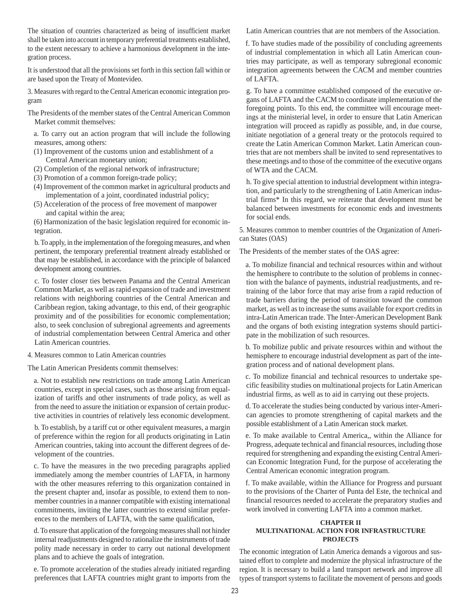The situation of countries characterized as being of insufficient market shall be taken into account in temporary preferential treatments established, to the extent necessary to achieve a harmonious development in the integration process.

It is understood that all the provisions set forth in this section fall within or are based upon the Treaty of Montevideo.

3. Measures with regard to the Central American economic integration program

The Presidents of the member states of the Central American Common Market commit themselves:

a. To carry out an action program that will include the following measures, among others:

- (1) Improvement of the customs union and establishment of a Central American monetary union;
- (2) Completion of the regional network of infrastructure;
- (3) Promotion of a common foreign-trade policy;
- (4) Improvement of the common market in agricultural products and implementation of a joint, coordinated industrial policy;
- (5) Acceleration of the process of free movement of manpower and capital within the area;

(6) Harmonization of the basic legislation required for economic integration.

b. To apply, in the implementation of the foregoing measures, and when pertinent, the temporary preferential treatment already established or that may be established, in accordance with the principle of balanced development among countries.

c. To foster closer ties between Panama and the Central American Common Market, as well as rapid expansion of trade and investment relations with neighboring countries of the Central American and Caribbean region, taking advantage, to this end, of their geographic proximity and of the possibilities for economic complementation; also, to seek conclusion of subregional agreements and agreements of industrial complementation between Central America and other Latin American countries.

4. Measures common to Latin American countries

The Latin American Presidents commit themselves:

a. Not to establish new restrictions on trade among Latin American countries, except in special cases, such as those arising from equalization of tariffs and other instruments of trade policy, as well as from the need to assure the initiation or expansion of certain productive activities in countries of relatively less economic development.

b. To establish, by a tariff cut or other equivalent measures, a margin of preference within the region for all products originating in Latin American countries, taking into account the different degrees of development of the countries.

c. To have the measures in the two preceding paragraphs applied immediately among the member countries of LAFTA, in harmony with the other measures referring to this organization contained in the present chapter and, insofar as possible, to extend them to nonmember countries in a manner compatible with existing international commitments, inviting the latter countries to extend similar preferences to the members of LAFTA, with the same qualification,

d. To ensure that application of the foregoing measures shall not hinder internal readjustments designed to rationalize the instruments of trade polity made necessary in order to carry out national development plans and to achieve the goals of integration.

e. To promote acceleration of the studies already initiated regarding preferences that LAFTA countries might grant to imports from the Latin American countries that are not members of the Association.

f. To have studies made of the possibility of concluding agreements of industrial complementation in which all Latin American countries may participate, as well as temporary subregional economic integration agreements between the CACM and member countries of LAFTA.

g. To have a committee established composed of the executive organs of LAFTA and the CACM to coordinate implementation of the foregoing points. To this end, the committee will encourage meetings at the ministerial level, in order to ensure that Latin American integration will proceed as rapidly as possible, and, in due course, initiate negotiation of a general treaty or the protocols required to create the Latin American Common Market. Latin American countries that are not members shall be invited to send representatives to these meetings and to those of the committee of the executive organs of WTA and the CACM.

h. To give special attention to industrial development within integration, and particularly to the strengthening of Latin American industrial firms\* In this regard, we reiterate that development must be balanced between investments for economic ends and investments for social ends.

5. Measures common to member countries of the Organization of American States (OAS)

The Presidents of the member states of the OAS agree:

a. To mobilize financial and technical resources within and without the hemisphere to contribute to the solution of problems in connection with the balance of payments, industrial readjustments, and retraining of the labor force that may arise from a rapid reduction of trade barriers during the period of transition toward the common market, as well as to increase the sums available for export credits in intra-Latin American trade. The Inter-American Development Bank and the organs of both existing integration systems should participate in the mobilization of such resources.

b. To mobilize public and private resources within and without the hemisphere to encourage industrial development as part of the integration process and of national development plans.

c. To mobilize financial and technical resources to undertake specific feasibility studies on multinational projects for Latin American industrial firms, as well as to aid in carrying out these projects.

d. To accelerate the studies being conducted by various inter-American agencies to promote strengthening of capital markets and the possible establishment of a Latin American stock market.

e. To make available to Central America,, within the Alliance for Progress, adequate technical and financial resources, including those required for strengthening and expanding the existing Central American Economic Integration Fund, for the purpose of accelerating the Central American economic integration program.

f. To make available, within the Alliance for Progress and pursuant to the provisions of the Charter of Punta del Este, the technical and financial resources needed to accelerate the preparatory studies and work involved in converting LAFTA into a common market.

#### **CHAPTER II MULTINATIONAL ACTION FOR INFRASTRUCTURE PROJECTS**

The economic integration of Latin America demands a vigorous and sustained effort to complete and modernize the physical infrastructure of the region. It is necessary to build a land transport network and improve all types of transport systems to facilitate the movement of persons and goods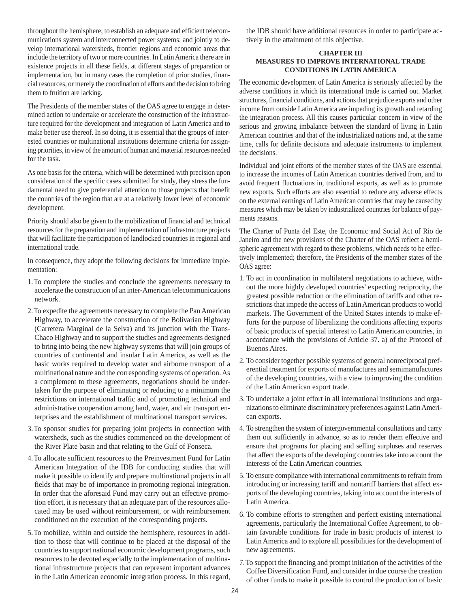throughout the hemisphere; to establish an adequate and efficient telecommunications system and interconnected power systems; and jointly to develop international watersheds, frontier regions and economic areas that include the territory of two or more countries. In Latin America there are in existence projects in all these fields, at different stages of preparation or implementation, but in many cases the completion of prior studies, financial resources, or merely the coordination of efforts and the decision to bring them to fruition are lacking.

The Presidents of the member states of the OAS agree to engage in determined action to undertake or accelerate the construction of the infrastructure required for the development and integration of Latin America and to make better use thereof. In so doing, it is essential that the groups of interested countries or multinational institutions determine criteria for assigning priorities, in view of the amount of human and material resources needed for the task.

As one basis for the criteria, which will be determined with precision upon consideration of the specific cases submitted for study, they stress the fundamental need to give preferential attention to those projects that benefit the countries of the region that are at a relatively lower level of economic development.

Priority should also be given to the mobilization of financial and technical resources for the preparation and implementation of infrastructure projects that will facilitate the participation of landlocked countries in regional and international trade.

In consequence, they adopt the following decisions for immediate implementation:

- 1.To complete the studies and conclude the agreements necessary to accelerate the construction of an inter-American telecommunications network.
- 2.To expedite the agreements necessary to complete the Pan American Highway, to accelerate the construction of the Bolivarian Highway (Carretera Marginal de la Selva) and its junction with the Trans-Chaco Highway and to support the studies and agreements designed to bring into being the new highway systems that will join groups of countries of continental and insular Latin America, as well as the basic works required to develop water and airborne transport of a multinational nature and the corresponding systems of operation. As a complement to these agreements, negotiations should be undertaken for the purpose of eliminating or reducing to a minimum the restrictions on international traffic and of promoting technical and administrative cooperation among land, water, and air transport enterprises and the establishment of multinational transport services.
- 3.To sponsor studies for preparing joint projects in connection with watersheds, such as the studies commenced on the development of the River Plate basin and that relating to the Gulf of Fonseca.
- 4.To allocate sufficient resources to the Preinvestment Fund for Latin American Integration of the IDB for conducting studies that will make it possible to identify and prepare multinational projects in all fields that may be of importance in promoting regional integration. In order that the aforesaid Fund may carry out an effective promotion effort, it is necessary that an adequate part of the resources allocated may be used without reimbursement, or with reimbursement conditioned on the execution of the corresponding projects.
- 5.To mobilize, within and outside the hemisphere, resources in addition to those that will continue to be placed at the disposal of the countries to support national economic development programs, such resources to be devoted especially to the implementation of multinational infrastructure projects that can represent important advances in the Latin American economic integration process. In this regard,

the IDB should have additional resources in order to participate actively in the attainment of this objective.

#### **CHAPTER III MEASURES TO IMPROVE INTERNATIONAL TRADE CONDITIONS IN LATIN AMERICA**

The economic development of Latin America is seriously affected by the adverse conditions in which its international trade is carried out. Market structures, financial conditions, and actions that prejudice exports and other income from outside Latin America are impeding its growth and retarding the integration process. All this causes particular concern in view of the serious and growing imbalance between the standard of living in Latin American countries and that of the industrialized nations and, at the same time, calls for definite decisions and adequate instruments to implement the decisions.

Individual and joint efforts of the member states of the OAS are essential to increase the incomes of Latin American countries derived from, and to avoid frequent fluctuations in, traditional exports, as well as to promote new exports. Such efforts are also essential to reduce any adverse effects on the external earnings of Latin American countries that may be caused by measures which may be taken by industrialized countries for balance of payments reasons.

The Charter of Punta del Este, the Economic and Social Act of Rio de Janeiro and the new provisions of the Charter of the OAS reflect a hemispheric agreement with regard to these problems, which needs to be effectively implemented; therefore, the Presidents of the member states of the OAS agree:

- 1. To act in coordination in multilateral negotiations to achieve, without the more highly developed countries' expecting reciprocity, the greatest possible reduction or the elimination of tariffs and other restrictions that impede the access of Latin American products to world markets. The Government of the United States intends to make efforts for the purpose of liberalizing the conditions affecting exports of basic products of special interest to Latin American countries, in accordance with the provisions of Article 37. a) of the Protocol of Buenos Aires.
- 2. To consider together possible systems of general nonreciprocal preferential treatment for exports of manufactures and semimanufactures of the developing countries, with a view to improving the condition of the Latin American export trade.
- 3. To undertake a joint effort in all international institutions and organizations to eliminate discriminatory preferences against Latin American exports.
- 4. To strengthen the system of intergovernmental consultations and carry them out sufficiently in advance, so as to render them effective and ensure that programs for placing and selling surpluses and reserves that affect the exports of the developing countries take into account the interests of the Latin American countries.
- 5. To ensure compliance with international commitments to refrain from introducing or increasing tariff and nontariff barriers that affect exports of the developing countries, taking into account the interests of Latin America.
- 6. To combine efforts to strengthen and perfect existing international agreements, particularly the International Coffee Agreement, to obtain favorable conditions for trade in basic products of interest to Latin America and to explore all possibilities for the development of new agreements.
- 7.To support the financing and prompt initiation of the activities of the Coffee Diversification Fund, and consider in due course the creation of other funds to make it possible to control the production of basic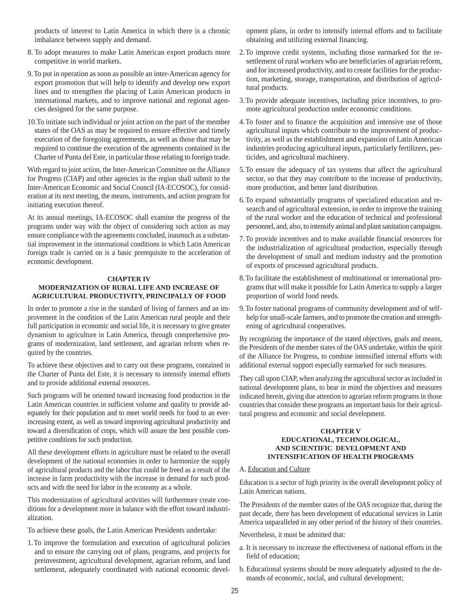products of interest to Latin America in which there is a chronic imbalance between supply and demand.

- 8. To adopt measures to make Latin American export products more competitive in world markets.
- 9.To put in operation as soon as possible an inter-American agency for export promotion that will help to identify and develop new export lines and to strengthen the placing of Latin American products in international markets, and to improve national and regional agencies designed for the same purpose.
- 10.To initiate such individual or joint action on the part of the member states of the OAS as may be required to ensure effective and timely execution of the foregoing agreements, as well as those that may be required to continue the execution of the agreements contained in the Charter of Punta del Este, in particular those relating to foreign trade.

With regard to joint action, the Inter-American Committee on the Alliance for Progress (CIAP) and other agencies in the region shall submit to the Inter-American Economic and Social Council (IA-ECOSOC), for consideration at its next meeting, the means, instruments, and action program for initiating execution thereof.

At its annual meetings, IA-ECOSOC shall examine the progress of the programs under way with the object of considering such action as may ensure compliance with the agreements concluded, inasmuch as a substantial improvement in the international conditions in which Latin American foreign trade is carried on is a basic prerequisite to the acceleration of economic development.

#### **CHAPTER IV MODERNIZATION OF RURAL LIFE AND INCREASE OF AGRICULTURAL PRODUCTIVITY, PRINCIPALLY OF FOOD**

In order to promote a rise in the standard of living of farmers and an improvement in the condition of the Latin American rural people and their full participation in economic and social life, it is necessary to give greater dynamism to agriculture in Latin America, through comprehensive programs of modernization, land settlement, and agrarian reform when required by the countries.

To achieve these objectives and to carry out these programs, contained in the Charter of Punta del Este, it is necessary to intensify internal efforts and to provide additional external resources.

Such programs will be oriented toward increasing food production in the Latin American countries in sufficient volume and quality to provide adequately for their population and to meet world needs for food to an everincreasing extent, as well as toward improving agricultural productivity and toward a diversification of crops, which will assure the best possible competitive conditions for such production.

All these development efforts in agriculture must be related to the overall development of the national economies in order to harmonize the supply of agricultural products and the labor that could be freed as a result of the increase in farm productivity with the increase in demand for such products and with the need for labor in the economy as a whole.

This modernization of agricultural activities will furthermore create conditions for a development more in balance with the effort toward industrialization.

To achieve these goals, the Latin American Presidents undertake:

1.To improve the formulation and execution of agricultural policies and to ensure the carrying out of plans, programs, and projects for preinvestment, agricultural development, agrarian reform, and land settlement, adequately coordinated with national economic development plans, in order to intensify internal efforts and to facilitate obtaining and utilizing external financing.

- 2.To improve credit systems, including those earmarked for the resettlement of rural workers who are beneficiaries of agrarian reform, and for increased productivity, and to create facilities for the production, marketing, storage, transportation, and distribution of agricultural products.
- 3.To provide adequate incentives, including price incentives, to promote agricultural production under economic conditions.
- 4.To foster and to finance the acquisition and intensive use of those agricultural inputs which contribute to the improvement of productivity, as well as the establishment and expansion of Latin American industries producing agricultural inputs, particularly fertilizers, pesticides, and agricultural machinery.
- 5.To ensure the adequacy of tax systems that affect the agricultural sector, so that they may contribute to the increase of productivity, more production, and better land distribution.
- 6.To expand substantially programs of specialized education and research and of agricultural extension, in order to improve the training of the rural worker and the education of technical and professional personnel, and, also, to intensify animal and plant sanitation campaigns.
- 7.To provide incentives and to make available financial resources for the industrialization of agricultural production, especially through the development of small and medium industry and the promotion of exports of processed agricultural products.
- 8.To facilitate the establishment of multinational or international programs that will make it possible for Latin America to supply a larger proportion of world food needs.
- 9.To foster national programs of community development and of selfhelp for small-scale farmers, and to promote the creation and strengthening of agricultural cooperatives.

By recognizing the importance of the stated objectives, goals and means, the Presidents of the member states of the OAS undertake, within the spirit of the Alliance for Progress, to combine intensified internal efforts with additional external support especially earmarked for such measures.

They call upon CIAP, when analyzing the agricultural sector as included in national development plans, to bear in mind the objectives and measures indicated herein, giving due attention to agrarian reform programs in those countries that consider these programs an important basis for their agricultural progress and economic and social development.

#### **CHAPTER V EDUCATIONAL, TECHNOLOGICAL, AND SCIENTIFIC DEVELOPMENT AND INTENSIFICATION OF HEALTH PROGRAMS**

#### A. Education and Culture

Education is a sector of high priority in the overall development policy of Latin American nations.

The Presidents of the member states of the OAS recognize that, during the past decade, there has been development of educational services in Latin America unparalleled in any other period of the history of their countries.

Nevertheless, it must be admitted that:

- a. It is necessary to increase the effectiveness of national efforts in the field of education;
- b. Educational systems should be more adequately adjusted to the demands of economic, social, and cultural development;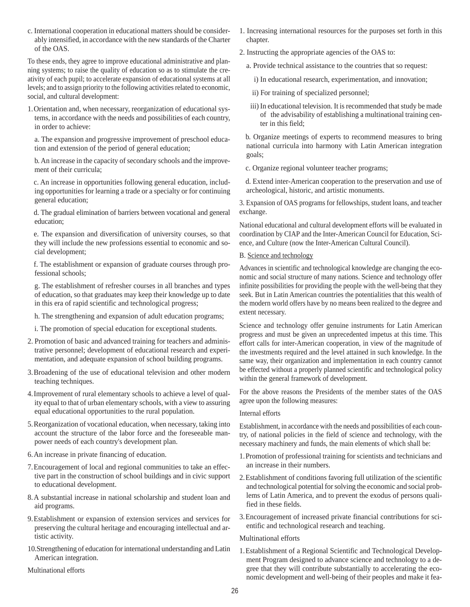c. International cooperation in educational matters should be considerably intensified, in accordance with the new standards of the Charter of the OAS.

To these ends, they agree to improve educational administrative and planning systems; to raise the quality of education so as to stimulate the creativity of each pupil; to accelerate expansion of educational systems at all levels; and to assign priority to the following activities related to economic, social, and cultural development:

1.Orientation and, when necessary, reorganization of educational systems, in accordance with the needs and possibilities of each country, in order to achieve:

a. The expansion and progressive improvement of preschool education and extension of the period of general education;

b. An increase in the capacity of secondary schools and the improvement of their curricula;

c. An increase in opportunities following general education, including opportunities for learning a trade or a specialty or for continuing general education;

d. The gradual elimination of barriers between vocational and general education;

e. The expansion and diversification of university courses, so that they will include the new professions essential to economic and social development;

f. The establishment or expansion of graduate courses through professional schools;

g. The establishment of refresher courses in all branches and types of education, so that graduates may keep their knowledge up to date in this era of rapid scientific and technological progress;

- h. The strengthening and expansion of adult education programs;
- i. The promotion of special education for exceptional students.
- 2. Promotion of basic and advanced training for teachers and administrative personnel; development of educational research and experimentation, and adequate expansion of school building programs.
- 3.Broadening of the use of educational television and other modern teaching techniques.
- 4.Improvement of rural elementary schools to achieve a level of quality equal to that of urban elementary schools, with a view to assuring equal educational opportunities to the rural population.
- 5.Reorganization of vocational education, when necessary, taking into account the structure of the labor force and the foreseeable manpower needs of each country's development plan.
- 6.An increase in private financing of education.
- 7.Encouragement of local and regional communities to take an effective part in the construction of school buildings and in civic support to educational development.
- 8.A substantial increase in national scholarship and student loan and aid programs.
- 9.Establishment or expansion of extension services and services for preserving the cultural heritage and encouraging intellectual and artistic activity.
- 10.Strengthening of education for international understanding and Latin American integration.

Multinational efforts

- 1. Increasing international resources for the purposes set forth in this chapter.
- 2. Instructing the appropriate agencies of the OAS to:
	- a. Provide technical assistance to the countries that so request:
		- i) In educational research, experimentation, and innovation;
		- ii) For training of specialized personnel;
	- iii) In educational television. It is recommended that study be made of the advisability of establishing a multinational training center in this field;

b. Organize meetings of experts to recommend measures to bring national curricula into harmony with Latin American integration goals;

- c. Organize regional volunteer teacher programs;
- d. Extend inter-American cooperation to the preservation and use of archeological, historic, and artistic monuments.

3. Expansion of OAS programs for fellowships, student loans, and teacher exchange.

National educational and cultural development efforts will be evaluated in coordination by CIAP and the Inter-American Council for Education, Science, and Culture (now the Inter-American Cultural Council).

#### B. Science and technology

Advances in scientific and technological knowledge are changing the economic and social structure of many nations. Science and technology offer infinite possibilities for providing the people with the well-being that they seek. But in Latin American countries the potentialities that this wealth of the modern world offers have by no means been realized to the degree and extent necessary.

Science and technology offer genuine instruments for Latin American progress and must be given an unprecedented impetus at this time. This effort calls for inter-American cooperation, in view of the magnitude of the investments required and the level attained in such knowledge. In the same way, their organization and implementation in each country cannot be effected without a properly planned scientific and technological policy within the general framework of development.

For the above reasons the Presidents of the member states of the OAS agree upon the following measures:

#### Internal efforts

Establishment, in accordance with the needs and possibilities of each country, of national policies in the field of science and technology, with the necessary machinery and funds, the main elements of which shall be:

- 1.Promotion of professional training for scientists and technicians and an increase in their numbers.
- 2.Establishment of conditions favoring full utilization of the scientific and technological potential for solving the economic and social problems of Latin America, and to prevent the exodus of persons qualified in these fields.
- 3.Encouragement of increased private financial contributions for scientific and technological research and teaching.

#### Multinational efforts

1.Establishment of a Regional Scientific and Technological Development Program designed to advance science and technology to a degree that they will contribute substantially to accelerating the economic development and well-being of their peoples and make it fea